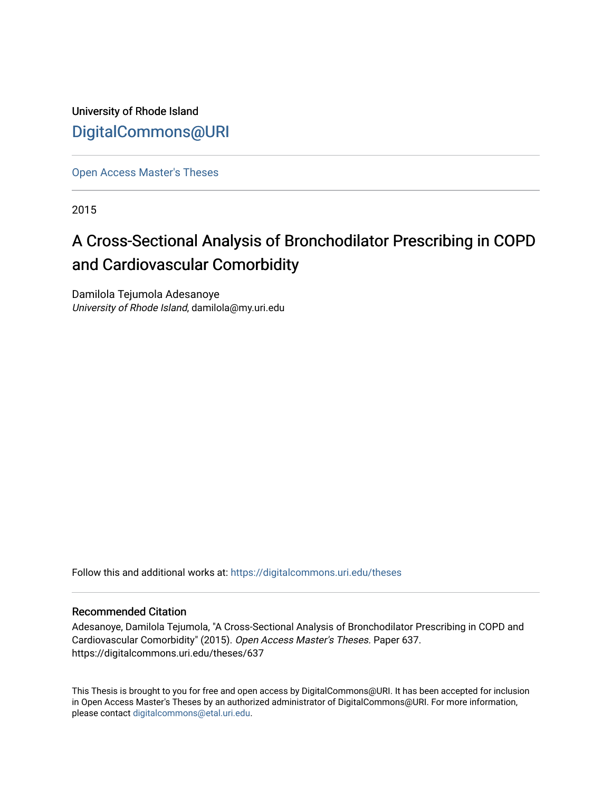University of Rhode Island [DigitalCommons@URI](https://digitalcommons.uri.edu/) 

[Open Access Master's Theses](https://digitalcommons.uri.edu/theses) 

2015

# A Cross-Sectional Analysis of Bronchodilator Prescribing in COPD and Cardiovascular Comorbidity

Damilola Tejumola Adesanoye University of Rhode Island, damilola@my.uri.edu

Follow this and additional works at: [https://digitalcommons.uri.edu/theses](https://digitalcommons.uri.edu/theses?utm_source=digitalcommons.uri.edu%2Ftheses%2F637&utm_medium=PDF&utm_campaign=PDFCoverPages)

#### Recommended Citation

Adesanoye, Damilola Tejumola, "A Cross-Sectional Analysis of Bronchodilator Prescribing in COPD and Cardiovascular Comorbidity" (2015). Open Access Master's Theses. Paper 637. https://digitalcommons.uri.edu/theses/637

This Thesis is brought to you for free and open access by DigitalCommons@URI. It has been accepted for inclusion in Open Access Master's Theses by an authorized administrator of DigitalCommons@URI. For more information, please contact [digitalcommons@etal.uri.edu.](mailto:digitalcommons@etal.uri.edu)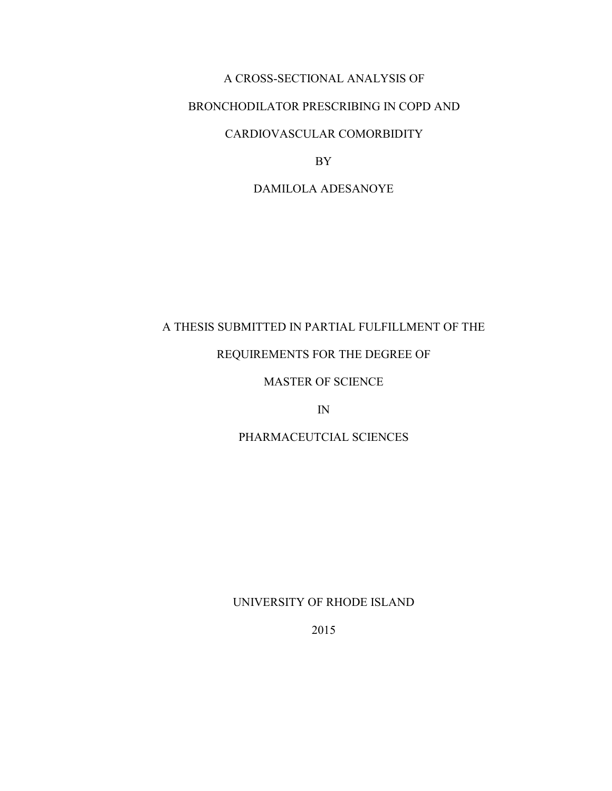### A CROSS-SECTIONAL ANALYSIS OF

## BRONCHODILATOR PRESCRIBING IN COPD AND

## CARDIOVASCULAR COMORBIDITY

BY

### DAMILOLA ADESANOYE

## A THESIS SUBMITTED IN PARTIAL FULFILLMENT OF THE

### REQUIREMENTS FOR THE DEGREE OF

## MASTER OF SCIENCE

IN

### PHARMACEUTCIAL SCIENCES

#### UNIVERSITY OF RHODE ISLAND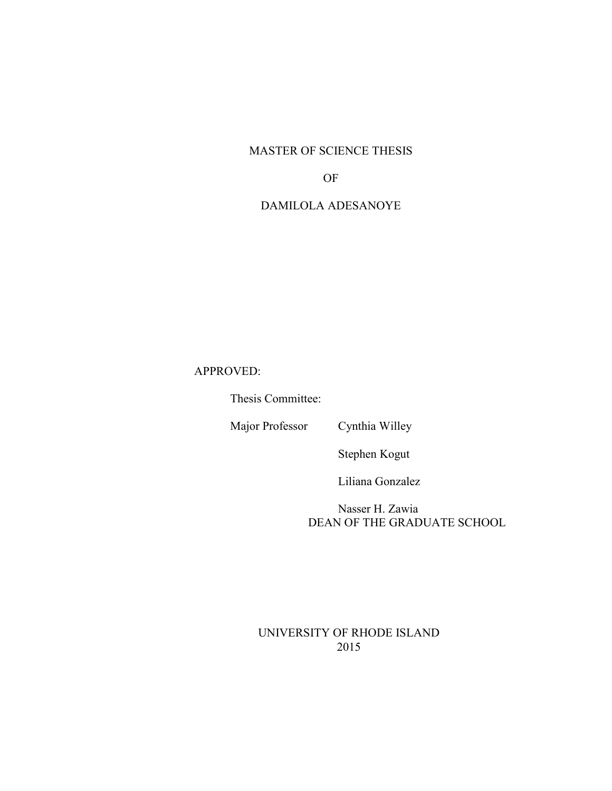## MASTER OF SCIENCE THESIS

### OF

## DAMILOLA ADESANOYE

## APPROVED:

Thesis Committee:

Major Professor Cynthia Willey

Stephen Kogut

Liliana Gonzalez

 Nasser H. Zawia DEAN OF THE GRADUATE SCHOOL

UNIVERSITY OF RHODE ISLAND 2015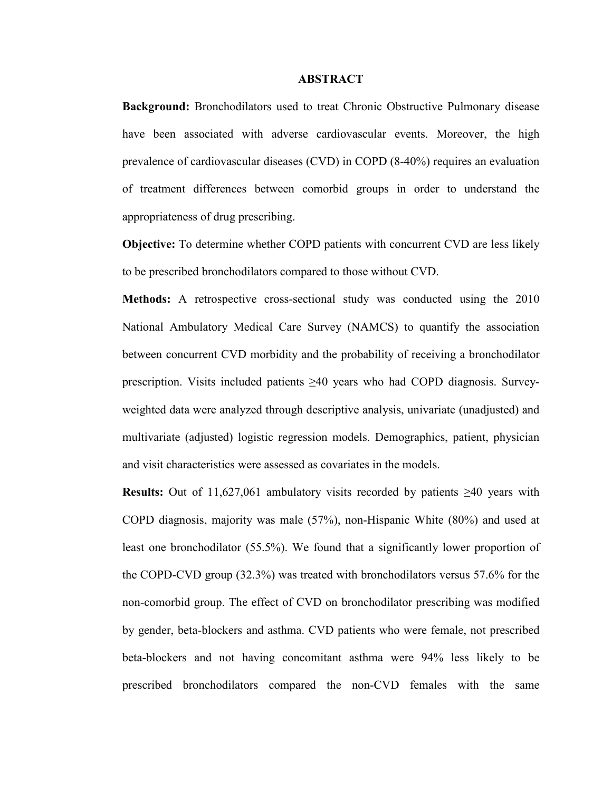#### **ABSTRACT**

**Background:** Bronchodilators used to treat Chronic Obstructive Pulmonary disease have been associated with adverse cardiovascular events. Moreover, the high prevalence of cardiovascular diseases (CVD) in COPD (8-40%) requires an evaluation of treatment differences between comorbid groups in order to understand the appropriateness of drug prescribing.

**Objective:** To determine whether COPD patients with concurrent CVD are less likely to be prescribed bronchodilators compared to those without CVD.

**Methods:** A retrospective cross-sectional study was conducted using the 2010 National Ambulatory Medical Care Survey (NAMCS) to quantify the association between concurrent CVD morbidity and the probability of receiving a bronchodilator prescription. Visits included patients ≥40 years who had COPD diagnosis. Surveyweighted data were analyzed through descriptive analysis, univariate (unadjusted) and multivariate (adjusted) logistic regression models. Demographics, patient, physician and visit characteristics were assessed as covariates in the models.

**Results:** Out of 11,627,061 ambulatory visits recorded by patients  $\geq 40$  years with COPD diagnosis, majority was male (57%), non-Hispanic White (80%) and used at least one bronchodilator (55.5%). We found that a significantly lower proportion of the COPD-CVD group (32.3%) was treated with bronchodilators versus 57.6% for the non-comorbid group. The effect of CVD on bronchodilator prescribing was modified by gender, beta-blockers and asthma. CVD patients who were female, not prescribed beta-blockers and not having concomitant asthma were 94% less likely to be prescribed bronchodilators compared the non-CVD females with the same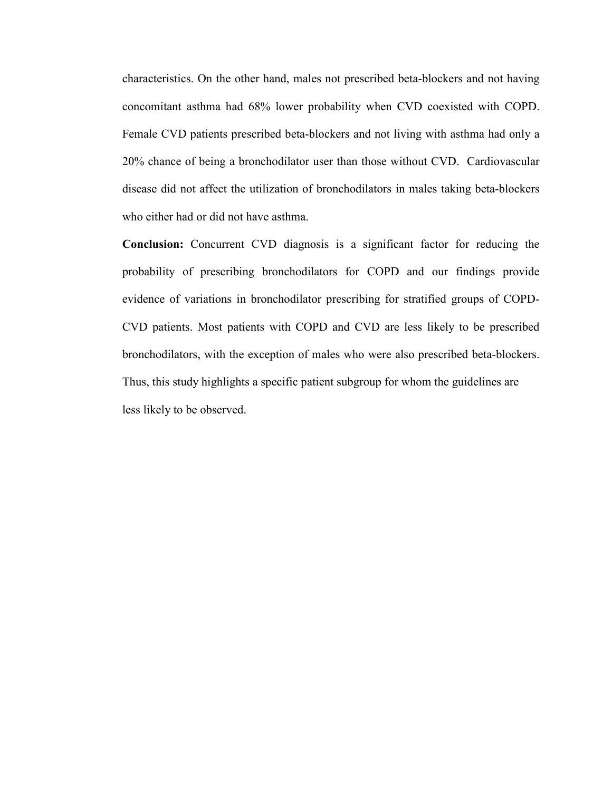characteristics. On the other hand, males not prescribed beta-blockers and not having concomitant asthma had 68% lower probability when CVD coexisted with COPD. Female CVD patients prescribed beta-blockers and not living with asthma had only a 20% chance of being a bronchodilator user than those without CVD. Cardiovascular disease did not affect the utilization of bronchodilators in males taking beta-blockers who either had or did not have asthma.

**Conclusion:** Concurrent CVD diagnosis is a significant factor for reducing the probability of prescribing bronchodilators for COPD and our findings provide evidence of variations in bronchodilator prescribing for stratified groups of COPD-CVD patients. Most patients with COPD and CVD are less likely to be prescribed bronchodilators, with the exception of males who were also prescribed beta-blockers. Thus, this study highlights a specific patient subgroup for whom the guidelines are less likely to be observed.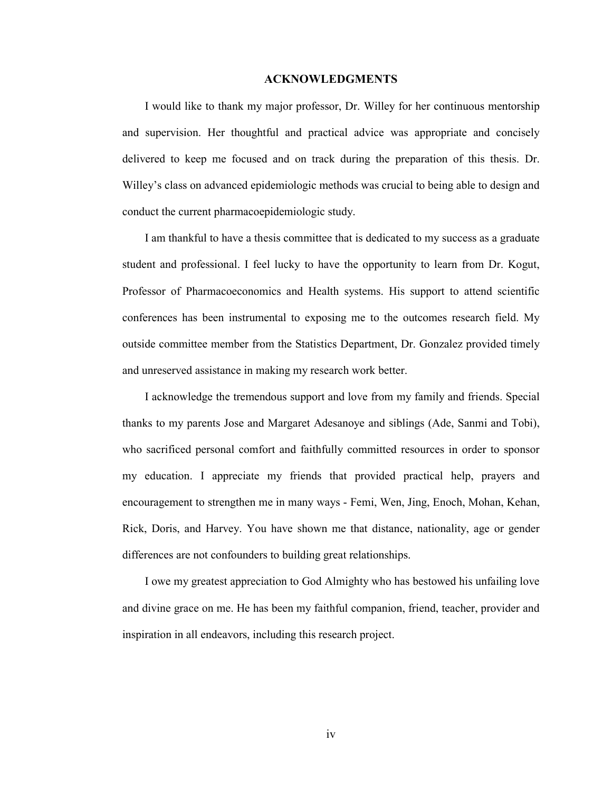#### **ACKNOWLEDGMENTS**

I would like to thank my major professor, Dr. Willey for her continuous mentorship and supervision. Her thoughtful and practical advice was appropriate and concisely delivered to keep me focused and on track during the preparation of this thesis. Dr. Willey's class on advanced epidemiologic methods was crucial to being able to design and conduct the current pharmacoepidemiologic study.

I am thankful to have a thesis committee that is dedicated to my success as a graduate student and professional. I feel lucky to have the opportunity to learn from Dr. Kogut, Professor of Pharmacoeconomics and Health systems. His support to attend scientific conferences has been instrumental to exposing me to the outcomes research field. My outside committee member from the Statistics Department, Dr. Gonzalez provided timely and unreserved assistance in making my research work better.

I acknowledge the tremendous support and love from my family and friends. Special thanks to my parents Jose and Margaret Adesanoye and siblings (Ade, Sanmi and Tobi), who sacrificed personal comfort and faithfully committed resources in order to sponsor my education. I appreciate my friends that provided practical help, prayers and encouragement to strengthen me in many ways - Femi, Wen, Jing, Enoch, Mohan, Kehan, Rick, Doris, and Harvey. You have shown me that distance, nationality, age or gender differences are not confounders to building great relationships.

I owe my greatest appreciation to God Almighty who has bestowed his unfailing love and divine grace on me. He has been my faithful companion, friend, teacher, provider and inspiration in all endeavors, including this research project.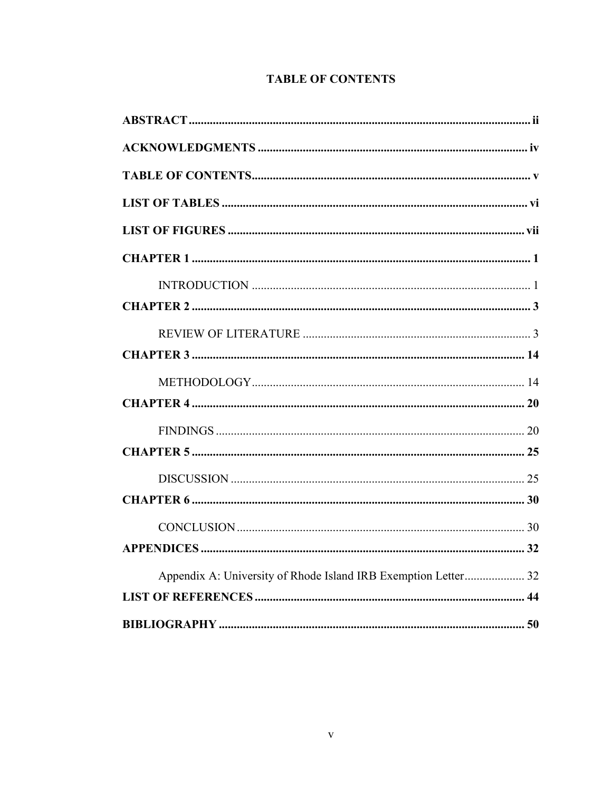## **TABLE OF CONTENTS**

| Appendix A: University of Rhode Island IRB Exemption Letter 32 |  |
|----------------------------------------------------------------|--|
|                                                                |  |
|                                                                |  |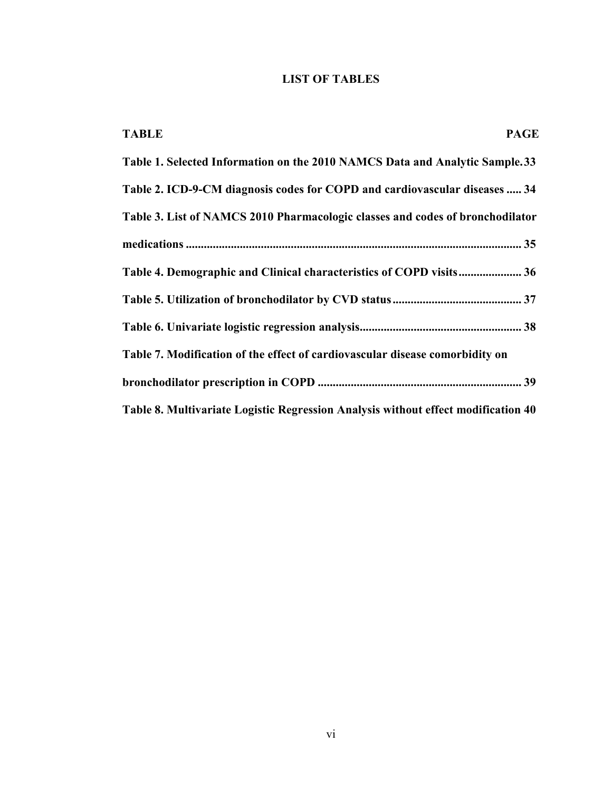## **LIST OF TABLES**

| <b>TABLE</b><br><b>PAGE</b>                                                       |
|-----------------------------------------------------------------------------------|
| Table 1. Selected Information on the 2010 NAMCS Data and Analytic Sample. 33      |
| Table 2. ICD-9-CM diagnosis codes for COPD and cardiovascular diseases  34        |
| Table 3. List of NAMCS 2010 Pharmacologic classes and codes of bronchodilator     |
|                                                                                   |
| Table 4. Demographic and Clinical characteristics of COPD visits 36               |
|                                                                                   |
|                                                                                   |
| Table 7. Modification of the effect of cardiovascular disease comorbidity on      |
|                                                                                   |
| Table 8. Multivariate Logistic Regression Analysis without effect modification 40 |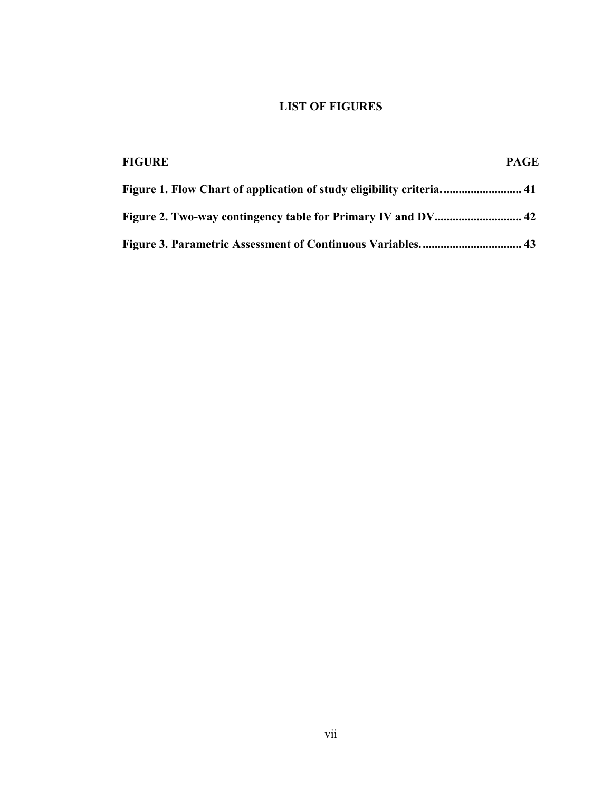## **LIST OF FIGURES**

| <b>FIGURE</b> | <b>PAGE</b> |
|---------------|-------------|
|               |             |
|               |             |
|               |             |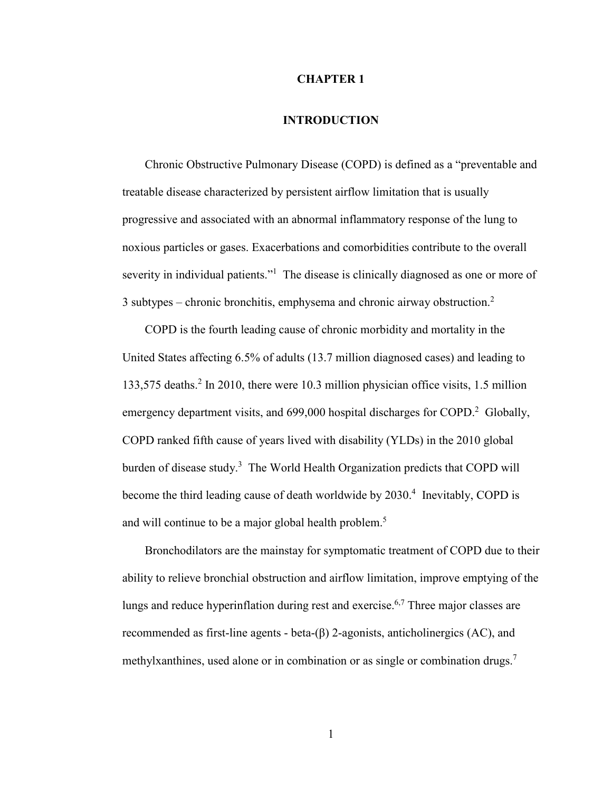#### **CHAPTER 1**

#### **INTRODUCTION**

Chronic Obstructive Pulmonary Disease (COPD) is defined as a "preventable and treatable disease characterized by persistent airflow limitation that is usually progressive and associated with an abnormal inflammatory response of the lung to noxious particles or gases. Exacerbations and comorbidities contribute to the overall severity in individual patients."<sup>1</sup> The disease is clinically diagnosed as one or more of 3 subtypes – chronic bronchitis, emphysema and chronic airway obstruction. $2$ 

COPD is the fourth leading cause of chronic morbidity and mortality in the United States affecting 6.5% of adults (13.7 million diagnosed cases) and leading to 133,575 deaths.<sup>2</sup> In 2010, there were 10.3 million physician office visits, 1.5 million emergency department visits, and 699,000 hospital discharges for COPD.<sup>2</sup> Globally, COPD ranked fifth cause of years lived with disability (YLDs) in the 2010 global burden of disease study.<sup>3</sup> The World Health Organization predicts that COPD will become the third leading cause of death worldwide by 2030.<sup>4</sup> Inevitably, COPD is and will continue to be a major global health problem.<sup>5</sup>

Bronchodilators are the mainstay for symptomatic treatment of COPD due to their ability to relieve bronchial obstruction and airflow limitation, improve emptying of the lungs and reduce hyperinflation during rest and exercise.<sup>6,7</sup> Three major classes are recommended as first-line agents - beta-(β) 2-agonists, anticholinergics (AC), and methylxanthines, used alone or in combination or as single or combination drugs.<sup>7</sup>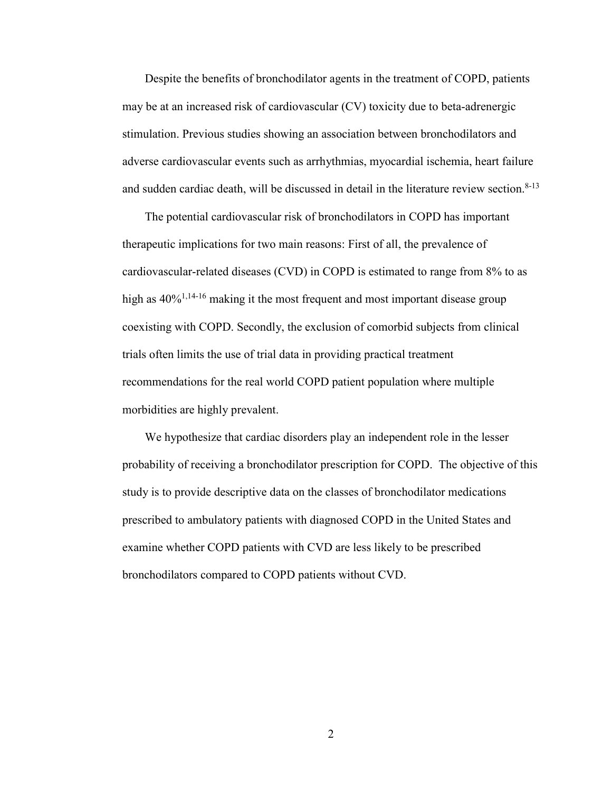Despite the benefits of bronchodilator agents in the treatment of COPD, patients may be at an increased risk of cardiovascular (CV) toxicity due to beta-adrenergic stimulation. Previous studies showing an association between bronchodilators and adverse cardiovascular events such as arrhythmias, myocardial ischemia, heart failure and sudden cardiac death, will be discussed in detail in the literature review section.<sup>8-13</sup>

The potential cardiovascular risk of bronchodilators in COPD has important therapeutic implications for two main reasons: First of all, the prevalence of cardiovascular-related diseases (CVD) in COPD is estimated to range from 8% to as high as  $40\%^{1,14-16}$  making it the most frequent and most important disease group coexisting with COPD. Secondly, the exclusion of comorbid subjects from clinical trials often limits the use of trial data in providing practical treatment recommendations for the real world COPD patient population where multiple morbidities are highly prevalent.

We hypothesize that cardiac disorders play an independent role in the lesser probability of receiving a bronchodilator prescription for COPD. The objective of this study is to provide descriptive data on the classes of bronchodilator medications prescribed to ambulatory patients with diagnosed COPD in the United States and examine whether COPD patients with CVD are less likely to be prescribed bronchodilators compared to COPD patients without CVD.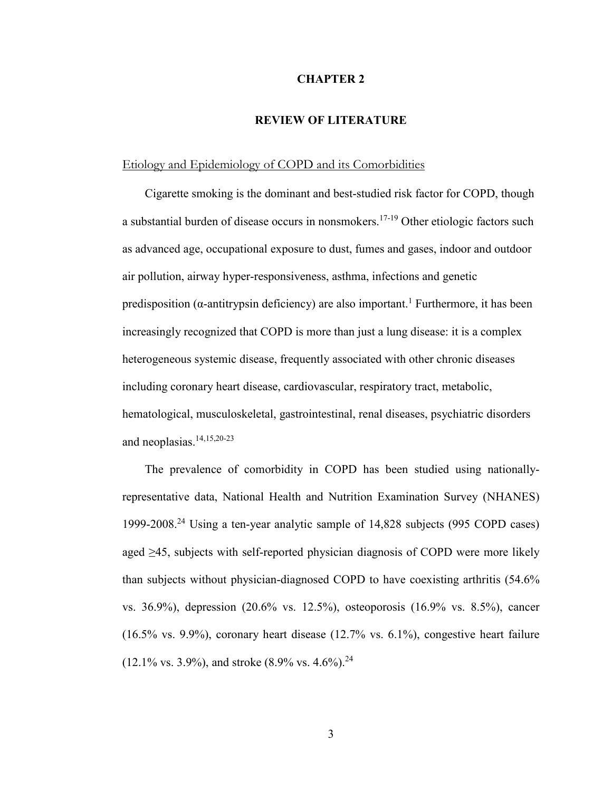#### **CHAPTER 2**

#### **REVIEW OF LITERATURE**

#### Etiology and Epidemiology of COPD and its Comorbidities

Cigarette smoking is the dominant and best-studied risk factor for COPD, though a substantial burden of disease occurs in nonsmokers.17-19 Other etiologic factors such as advanced age, occupational exposure to dust, fumes and gases, indoor and outdoor air pollution, airway hyper-responsiveness, asthma, infections and genetic predisposition ( $\alpha$ -antitrypsin deficiency) are also important.<sup>1</sup> Furthermore, it has been increasingly recognized that COPD is more than just a lung disease: it is a complex heterogeneous systemic disease, frequently associated with other chronic diseases including coronary heart disease, cardiovascular, respiratory tract, metabolic, hematological, musculoskeletal, gastrointestinal, renal diseases, psychiatric disorders and neoplasias. $14,15,20-23$ 

The prevalence of comorbidity in COPD has been studied using nationallyrepresentative data, National Health and Nutrition Examination Survey (NHANES) 1999-2008.<sup>24</sup> Using a ten-year analytic sample of 14,828 subjects (995 COPD cases) aged ≥45, subjects with self-reported physician diagnosis of COPD were more likely than subjects without physician-diagnosed COPD to have coexisting arthritis (54.6% vs. 36.9%), depression (20.6% vs. 12.5%), osteoporosis (16.9% vs. 8.5%), cancer (16.5% vs. 9.9%), coronary heart disease (12.7% vs. 6.1%), congestive heart failure  $(12.1\% \text{ vs. } 3.9\%)$ , and stroke  $(8.9\% \text{ vs. } 4.6\%)$ .<sup>24</sup>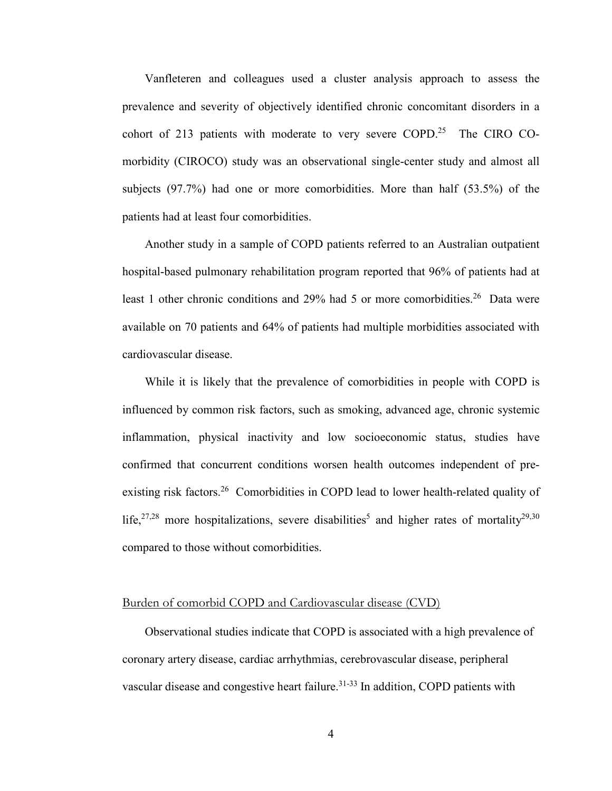Vanfleteren and colleagues used a cluster analysis approach to assess the prevalence and severity of objectively identified chronic concomitant disorders in a cohort of 213 patients with moderate to very severe COPD.<sup>25</sup> The CIRO COmorbidity (CIROCO) study was an observational single-center study and almost all subjects (97.7%) had one or more comorbidities. More than half (53.5%) of the patients had at least four comorbidities.

Another study in a sample of COPD patients referred to an Australian outpatient hospital-based pulmonary rehabilitation program reported that 96% of patients had at least 1 other chronic conditions and 29% had 5 or more comorbidities.<sup>26</sup> Data were available on 70 patients and 64% of patients had multiple morbidities associated with cardiovascular disease.

While it is likely that the prevalence of comorbidities in people with COPD is influenced by common risk factors, such as smoking, advanced age, chronic systemic inflammation, physical inactivity and low socioeconomic status, studies have confirmed that concurrent conditions worsen health outcomes independent of preexisting risk factors.<sup>26</sup> Comorbidities in COPD lead to lower health-related quality of life,<sup>27,28</sup> more hospitalizations, severe disabilities<sup>5</sup> and higher rates of mortality<sup>29,30</sup> compared to those without comorbidities.

#### Burden of comorbid COPD and Cardiovascular disease (CVD)

Observational studies indicate that COPD is associated with a high prevalence of coronary artery disease, cardiac arrhythmias, cerebrovascular disease, peripheral vascular disease and congestive heart failure.<sup>31-33</sup> In addition, COPD patients with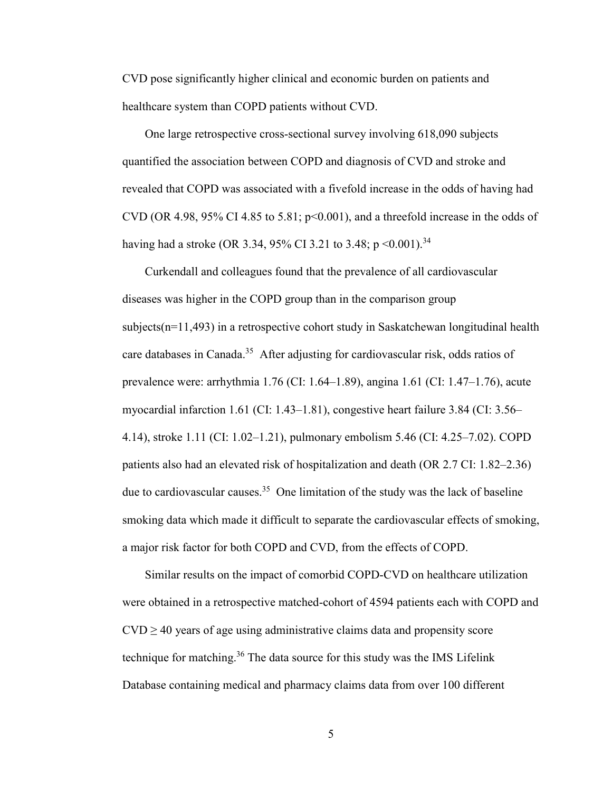CVD pose significantly higher clinical and economic burden on patients and healthcare system than COPD patients without CVD.

One large retrospective cross-sectional survey involving 618,090 subjects quantified the association between COPD and diagnosis of CVD and stroke and revealed that COPD was associated with a fivefold increase in the odds of having had CVD (OR 4.98, 95% CI 4.85 to 5.81;  $p<0.001$ ), and a threefold increase in the odds of having had a stroke (OR 3.34, 95% CI 3.21 to 3.48;  $p \le 0.001$ ).<sup>34</sup>

Curkendall and colleagues found that the prevalence of all cardiovascular diseases was higher in the COPD group than in the comparison group  $subjects(n=11,493)$  in a retrospective cohort study in Saskatchewan longitudinal health care databases in Canada.<sup>35</sup> After adjusting for cardiovascular risk, odds ratios of prevalence were: arrhythmia 1.76 (CI: 1.64–1.89), angina 1.61 (CI: 1.47–1.76), acute myocardial infarction 1.61 (CI: 1.43–1.81), congestive heart failure 3.84 (CI: 3.56– 4.14), stroke 1.11 (CI: 1.02–1.21), pulmonary embolism 5.46 (CI: 4.25–7.02). COPD patients also had an elevated risk of hospitalization and death (OR 2.7 CI: 1.82–2.36) due to cardiovascular causes.<sup>35</sup> One limitation of the study was the lack of baseline smoking data which made it difficult to separate the cardiovascular effects of smoking, a major risk factor for both COPD and CVD, from the effects of COPD.

Similar results on the impact of comorbid COPD-CVD on healthcare utilization were obtained in a retrospective matched-cohort of 4594 patients each with COPD and  $CVD \ge 40$  years of age using administrative claims data and propensity score technique for matching.<sup>36</sup> The data source for this study was the IMS Lifelink Database containing medical and pharmacy claims data from over 100 different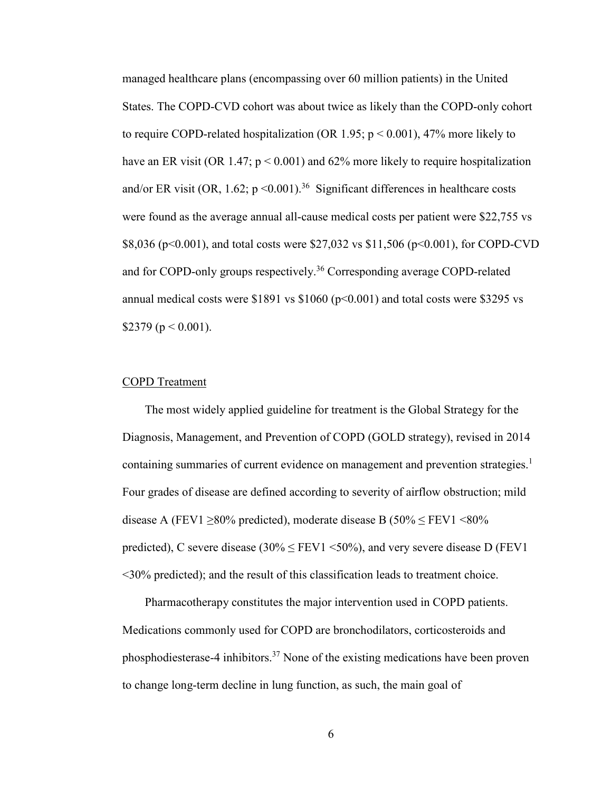managed healthcare plans (encompassing over 60 million patients) in the United States. The COPD-CVD cohort was about twice as likely than the COPD-only cohort to require COPD-related hospitalization (OR 1.95;  $p < 0.001$ ), 47% more likely to have an ER visit (OR 1.47;  $p < 0.001$ ) and 62% more likely to require hospitalization and/or ER visit (OR, 1.62;  $p \le 0.001$ )<sup>36</sup> Significant differences in healthcare costs were found as the average annual all-cause medical costs per patient were \$22,755 vs \$8,036 (p<0.001), and total costs were \$27,032 vs \$11,506 (p<0.001), for COPD-CVD and for COPD-only groups respectively.<sup>36</sup> Corresponding average COPD-related annual medical costs were  $$1891$  vs  $$1060$  ( $p<0.001$ ) and total costs were  $$3295$  vs \$2379 ( $p < 0.001$ ).

#### COPD Treatment

The most widely applied guideline for treatment is the Global Strategy for the Diagnosis, Management, and Prevention of COPD (GOLD strategy), revised in 2014 containing summaries of current evidence on management and prevention strategies.<sup>1</sup> Four grades of disease are defined according to severity of airflow obstruction; mild disease A (FEV1  $\geq$ 80% predicted), moderate disease B (50%  $\leq$  FEV1 <80% predicted), C severe disease  $(30\% \leq FEV1 \leq 50\%)$ , and very severe disease D (FEV1) <30% predicted); and the result of this classification leads to treatment choice.

Pharmacotherapy constitutes the major intervention used in COPD patients. Medications commonly used for COPD are bronchodilators, corticosteroids and phosphodiesterase-4 inhibitors.<sup>37</sup> None of the existing medications have been proven to change long-term decline in lung function, as such, the main goal of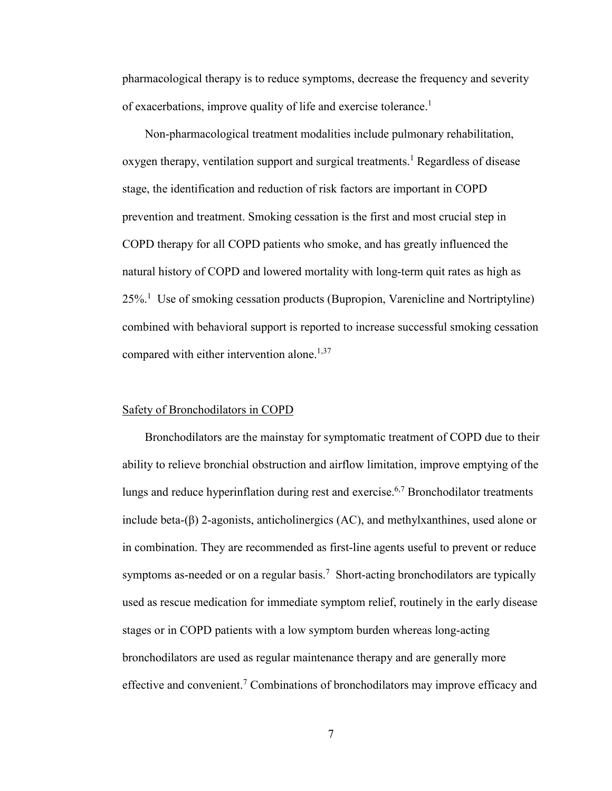pharmacological therapy is to reduce symptoms, decrease the frequency and severity of exacerbations, improve quality of life and exercise tolerance.<sup>1</sup>

Non-pharmacological treatment modalities include pulmonary rehabilitation, oxygen therapy, ventilation support and surgical treatments.<sup>1</sup> Regardless of disease stage, the identification and reduction of risk factors are important in COPD prevention and treatment. Smoking cessation is the first and most crucial step in COPD therapy for all COPD patients who smoke, and has greatly influenced the natural history of COPD and lowered mortality with long-term quit rates as high as 25%.<sup>1</sup> Use of smoking cessation products (Bupropion, Varenicline and Nortriptyline) combined with behavioral support is reported to increase successful smoking cessation compared with either intervention alone. $1,37$ 

#### Safety of Bronchodilators in COPD

Bronchodilators are the mainstay for symptomatic treatment of COPD due to their ability to relieve bronchial obstruction and airflow limitation, improve emptying of the lungs and reduce hyperinflation during rest and exercise.<sup>6,7</sup> Bronchodilator treatments include beta-(β) 2-agonists, anticholinergics (AC), and methylxanthines, used alone or in combination. They are recommended as first-line agents useful to prevent or reduce symptoms as-needed or on a regular basis.<sup>7</sup> Short-acting bronchodilators are typically used as rescue medication for immediate symptom relief, routinely in the early disease stages or in COPD patients with a low symptom burden whereas long-acting bronchodilators are used as regular maintenance therapy and are generally more effective and convenient.<sup>7</sup> Combinations of bronchodilators may improve efficacy and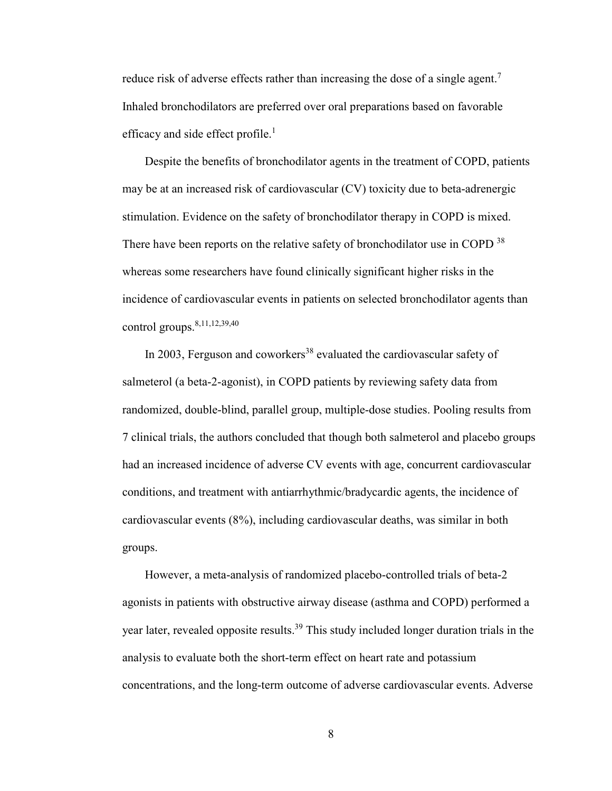reduce risk of adverse effects rather than increasing the dose of a single agent.<sup>7</sup> Inhaled bronchodilators are preferred over oral preparations based on favorable efficacy and side effect profile. $<sup>1</sup>$ </sup>

Despite the benefits of bronchodilator agents in the treatment of COPD, patients may be at an increased risk of cardiovascular (CV) toxicity due to beta-adrenergic stimulation. Evidence on the safety of bronchodilator therapy in COPD is mixed. There have been reports on the relative safety of bronchodilator use in COPD <sup>38</sup> whereas some researchers have found clinically significant higher risks in the incidence of cardiovascular events in patients on selected bronchodilator agents than control groups.8,11,12,39,40

In 2003, Ferguson and coworkers<sup>38</sup> evaluated the cardiovascular safety of salmeterol (a beta-2-agonist), in COPD patients by reviewing safety data from randomized, double-blind, parallel group, multiple-dose studies. Pooling results from 7 clinical trials, the authors concluded that though both salmeterol and placebo groups had an increased incidence of adverse CV events with age, concurrent cardiovascular conditions, and treatment with antiarrhythmic/bradycardic agents, the incidence of cardiovascular events (8%), including cardiovascular deaths, was similar in both groups.

However, a meta-analysis of randomized placebo-controlled trials of beta-2 agonists in patients with obstructive airway disease (asthma and COPD) performed a year later, revealed opposite results.<sup>39</sup> This study included longer duration trials in the analysis to evaluate both the short-term effect on heart rate and potassium concentrations, and the long-term outcome of adverse cardiovascular events. Adverse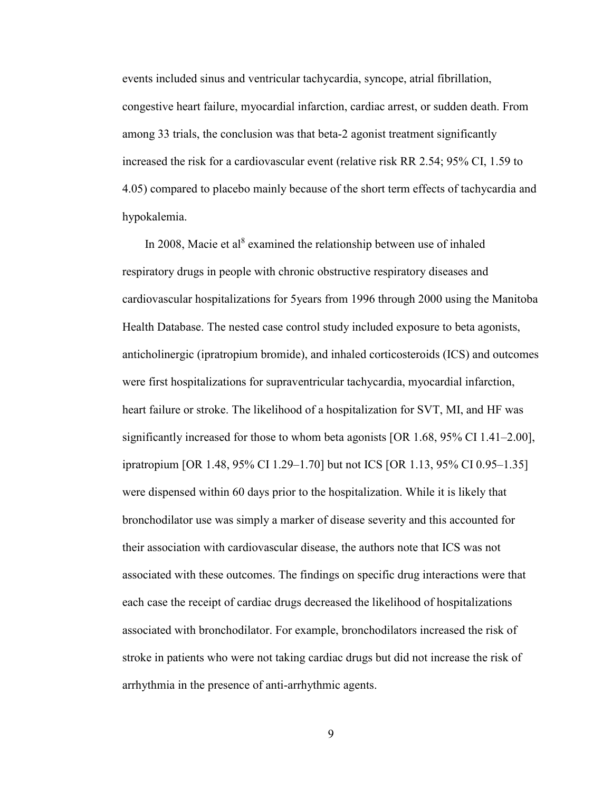events included sinus and ventricular tachycardia, syncope, atrial fibrillation, congestive heart failure, myocardial infarction, cardiac arrest, or sudden death. From among 33 trials, the conclusion was that beta-2 agonist treatment significantly increased the risk for a cardiovascular event (relative risk RR 2.54; 95% CI, 1.59 to 4.05) compared to placebo mainly because of the short term effects of tachycardia and hypokalemia.

In 2008, Macie et al<sup>8</sup> examined the relationship between use of inhaled respiratory drugs in people with chronic obstructive respiratory diseases and cardiovascular hospitalizations for 5years from 1996 through 2000 using the Manitoba Health Database. The nested case control study included exposure to beta agonists, anticholinergic (ipratropium bromide), and inhaled corticosteroids (ICS) and outcomes were first hospitalizations for supraventricular tachycardia, myocardial infarction, heart failure or stroke. The likelihood of a hospitalization for SVT, MI, and HF was significantly increased for those to whom beta agonists [OR 1.68, 95% CI 1.41–2.00], ipratropium [OR 1.48, 95% CI 1.29–1.70] but not ICS [OR 1.13, 95% CI 0.95–1.35] were dispensed within 60 days prior to the hospitalization. While it is likely that bronchodilator use was simply a marker of disease severity and this accounted for their association with cardiovascular disease, the authors note that ICS was not associated with these outcomes. The findings on specific drug interactions were that each case the receipt of cardiac drugs decreased the likelihood of hospitalizations associated with bronchodilator. For example, bronchodilators increased the risk of stroke in patients who were not taking cardiac drugs but did not increase the risk of arrhythmia in the presence of anti-arrhythmic agents.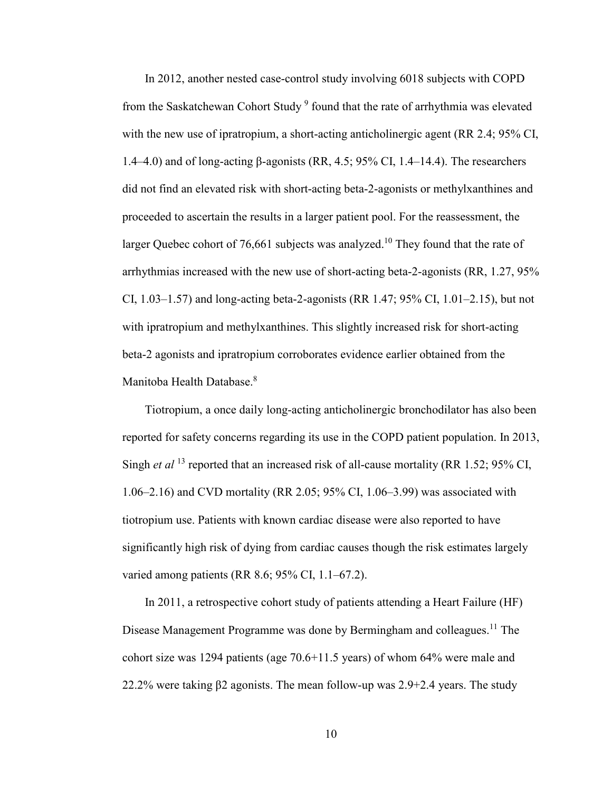In 2012, another nested case-control study involving 6018 subjects with COPD from the Saskatchewan Cohort Study<sup>9</sup> found that the rate of arrhythmia was elevated with the new use of ipratropium, a short-acting anticholinergic agent (RR 2.4; 95% CI, 1.4–4.0) and of long-acting β-agonists (RR, 4.5; 95% CI, 1.4–14.4). The researchers did not find an elevated risk with short-acting beta-2-agonists or methylxanthines and proceeded to ascertain the results in a larger patient pool. For the reassessment, the larger Quebec cohort of 76,661 subjects was analyzed.<sup>10</sup> They found that the rate of arrhythmias increased with the new use of short-acting beta-2-agonists (RR, 1.27, 95% CI, 1.03–1.57) and long-acting beta-2-agonists (RR 1.47; 95% CI, 1.01–2.15), but not with ipratropium and methylxanthines. This slightly increased risk for short-acting beta-2 agonists and ipratropium corroborates evidence earlier obtained from the Manitoba Health Database.<sup>8</sup>

Tiotropium, a once daily long-acting anticholinergic bronchodilator has also been reported for safety concerns regarding its use in the COPD patient population. In 2013, Singh *et al* <sup>13</sup> reported that an increased risk of all-cause mortality (RR 1.52; 95% CI, 1.06–2.16) and CVD mortality (RR 2.05; 95% CI, 1.06–3.99) was associated with tiotropium use. Patients with known cardiac disease were also reported to have significantly high risk of dying from cardiac causes though the risk estimates largely varied among patients (RR 8.6; 95% CI, 1.1–67.2).

In 2011, a retrospective cohort study of patients attending a Heart Failure (HF) Disease Management Programme was done by Bermingham and colleagues.<sup>11</sup> The cohort size was 1294 patients (age 70.6+11.5 years) of whom 64% were male and 22.2% were taking  $\beta$ 2 agonists. The mean follow-up was 2.9+2.4 years. The study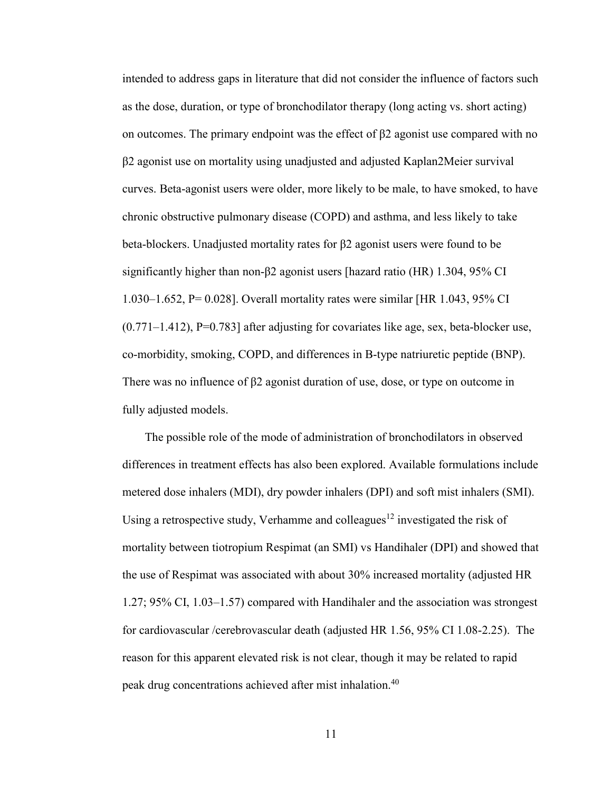intended to address gaps in literature that did not consider the influence of factors such as the dose, duration, or type of bronchodilator therapy (long acting vs. short acting) on outcomes. The primary endpoint was the effect of β2 agonist use compared with no β2 agonist use on mortality using unadjusted and adjusted Kaplan2Meier survival curves. Beta-agonist users were older, more likely to be male, to have smoked, to have chronic obstructive pulmonary disease (COPD) and asthma, and less likely to take beta-blockers. Unadjusted mortality rates for β2 agonist users were found to be significantly higher than non-β2 agonist users [hazard ratio (HR) 1.304, 95% CI 1.030–1.652, P= 0.028]. Overall mortality rates were similar [HR 1.043, 95% CI  $(0.771-1.412)$ , P=0.783] after adjusting for covariates like age, sex, beta-blocker use, co-morbidity, smoking, COPD, and differences in B-type natriuretic peptide (BNP). There was no influence of  $\beta$ 2 agonist duration of use, dose, or type on outcome in fully adjusted models.

The possible role of the mode of administration of bronchodilators in observed differences in treatment effects has also been explored. Available formulations include metered dose inhalers (MDI), dry powder inhalers (DPI) and soft mist inhalers (SMI). Using a retrospective study, Verhamme and colleagues<sup>12</sup> investigated the risk of mortality between tiotropium Respimat (an SMI) vs Handihaler (DPI) and showed that the use of Respimat was associated with about 30% increased mortality (adjusted HR 1.27; 95% CI, 1.03–1.57) compared with Handihaler and the association was strongest for cardiovascular /cerebrovascular death (adjusted HR 1.56, 95% CI 1.08-2.25). The reason for this apparent elevated risk is not clear, though it may be related to rapid peak drug concentrations achieved after mist inhalation.<sup>40</sup>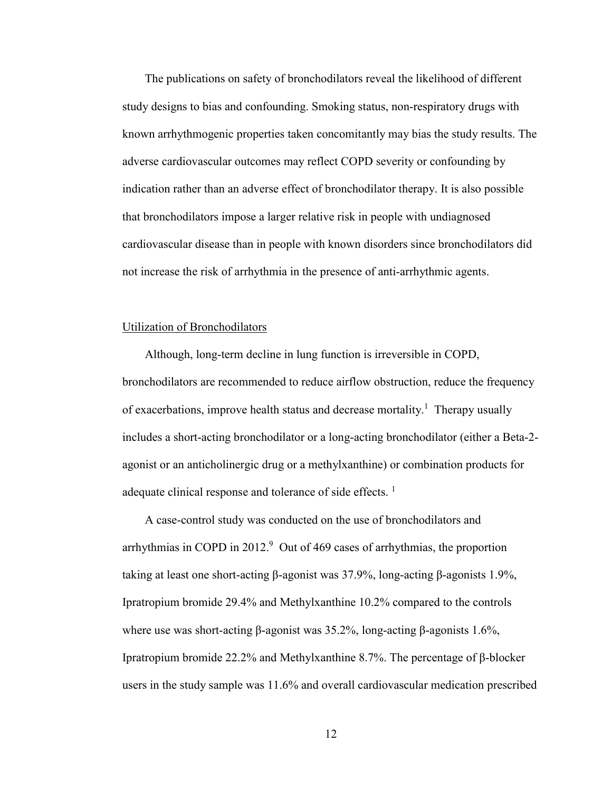The publications on safety of bronchodilators reveal the likelihood of different study designs to bias and confounding. Smoking status, non-respiratory drugs with known arrhythmogenic properties taken concomitantly may bias the study results. The adverse cardiovascular outcomes may reflect COPD severity or confounding by indication rather than an adverse effect of bronchodilator therapy. It is also possible that bronchodilators impose a larger relative risk in people with undiagnosed cardiovascular disease than in people with known disorders since bronchodilators did not increase the risk of arrhythmia in the presence of anti-arrhythmic agents.

#### Utilization of Bronchodilators

Although, long-term decline in lung function is irreversible in COPD, bronchodilators are recommended to reduce airflow obstruction, reduce the frequency of exacerbations, improve health status and decrease mortality.<sup>1</sup> Therapy usually includes a short-acting bronchodilator or a long-acting bronchodilator (either a Beta-2 agonist or an anticholinergic drug or a methylxanthine) or combination products for adequate clinical response and tolerance of side effects.<sup>1</sup>

A case-control study was conducted on the use of bronchodilators and arrhythmias in COPD in  $2012<sup>9</sup>$  Out of 469 cases of arrhythmias, the proportion taking at least one short-acting β-agonist was 37.9%, long-acting β-agonists 1.9%, Ipratropium bromide 29.4% and Methylxanthine 10.2% compared to the controls where use was short-acting β-agonist was 35.2%, long-acting β-agonists 1.6%, Ipratropium bromide 22.2% and Methylxanthine 8.7%. The percentage of β-blocker users in the study sample was 11.6% and overall cardiovascular medication prescribed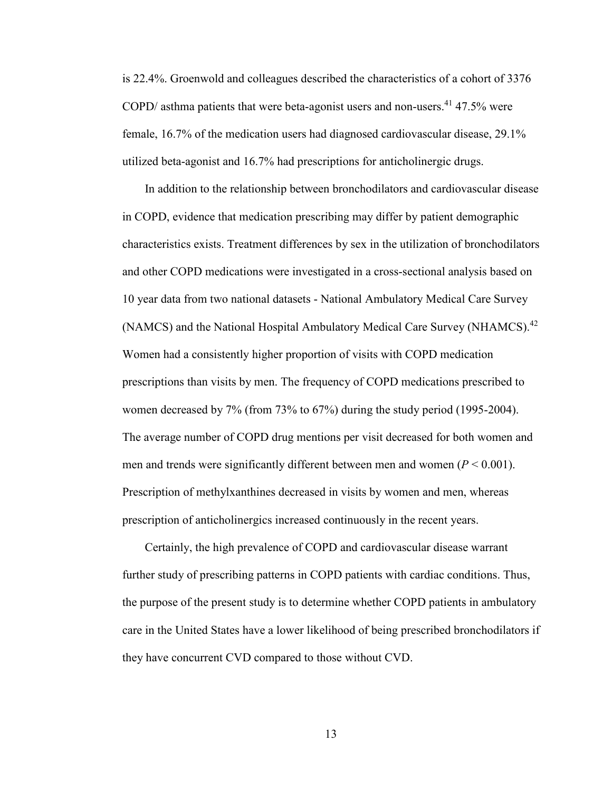is 22.4%. Groenwold and colleagues described the characteristics of a cohort of 3376 COPD/ asthma patients that were beta-agonist users and non-users.<sup>41</sup> 47.5% were female, 16.7% of the medication users had diagnosed cardiovascular disease, 29.1% utilized beta-agonist and 16.7% had prescriptions for anticholinergic drugs.

In addition to the relationship between bronchodilators and cardiovascular disease in COPD, evidence that medication prescribing may differ by patient demographic characteristics exists. Treatment differences by sex in the utilization of bronchodilators and other COPD medications were investigated in a cross-sectional analysis based on 10 year data from two national datasets - National Ambulatory Medical Care Survey (NAMCS) and the National Hospital Ambulatory Medical Care Survey (NHAMCS).<sup>42</sup> Women had a consistently higher proportion of visits with COPD medication prescriptions than visits by men. The frequency of COPD medications prescribed to women decreased by 7% (from 73% to 67%) during the study period (1995-2004). The average number of COPD drug mentions per visit decreased for both women and men and trends were significantly different between men and women  $(P < 0.001)$ . Prescription of methylxanthines decreased in visits by women and men, whereas prescription of anticholinergics increased continuously in the recent years.

Certainly, the high prevalence of COPD and cardiovascular disease warrant further study of prescribing patterns in COPD patients with cardiac conditions. Thus, the purpose of the present study is to determine whether COPD patients in ambulatory care in the United States have a lower likelihood of being prescribed bronchodilators if they have concurrent CVD compared to those without CVD.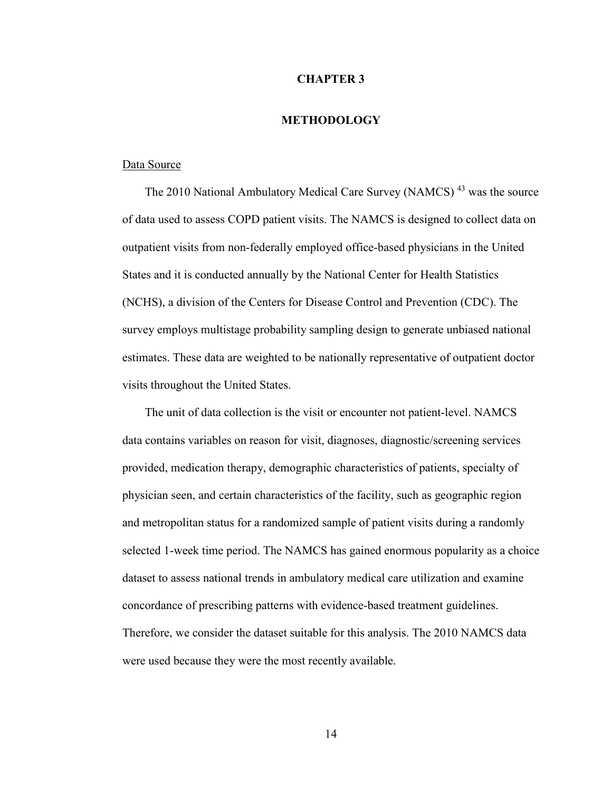#### **CHAPTER 3**

#### **METHODOLOGY**

#### Data Source

The 2010 National Ambulatory Medical Care Survey (NAMCS)<sup>43</sup> was the source of data used to assess COPD patient visits. The NAMCS is designed to collect data on outpatient visits from non-federally employed office-based physicians in the United States and it is conducted annually by the National Center for Health Statistics (NCHS), a division of the Centers for Disease Control and Prevention (CDC). The survey employs multistage probability sampling design to generate unbiased national estimates. These data are weighted to be nationally representative of outpatient doctor visits throughout the United States.

The unit of data collection is the visit or encounter not patient-level. NAMCS data contains variables on reason for visit, diagnoses, diagnostic/screening services provided, medication therapy, demographic characteristics of patients, specialty of physician seen, and certain characteristics of the facility, such as geographic region and metropolitan status for a randomized sample of patient visits during a randomly selected 1-week time period. The NAMCS has gained enormous popularity as a choice dataset to assess national trends in ambulatory medical care utilization and examine concordance of prescribing patterns with evidence-based treatment guidelines. Therefore, we consider the dataset suitable for this analysis. The 2010 NAMCS data were used because they were the most recently available.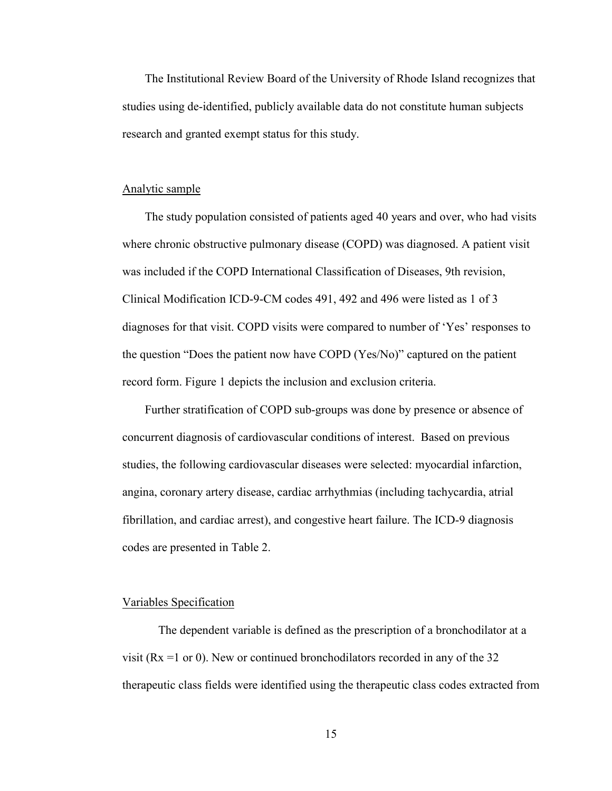The Institutional Review Board of the University of Rhode Island recognizes that studies using de-identified, publicly available data do not constitute human subjects research and granted exempt status for this study.

#### Analytic sample

The study population consisted of patients aged 40 years and over, who had visits where chronic obstructive pulmonary disease (COPD) was diagnosed. A patient visit was included if the COPD International Classification of Diseases, 9th revision, Clinical Modification ICD-9-CM codes 491, 492 and 496 were listed as 1 of 3 diagnoses for that visit. COPD visits were compared to number of 'Yes' responses to the question "Does the patient now have COPD (Yes/No)" captured on the patient record form. Figure 1 depicts the inclusion and exclusion criteria.

Further stratification of COPD sub-groups was done by presence or absence of concurrent diagnosis of cardiovascular conditions of interest. Based on previous studies, the following cardiovascular diseases were selected: myocardial infarction, angina, coronary artery disease, cardiac arrhythmias (including tachycardia, atrial fibrillation, and cardiac arrest), and congestive heart failure. The ICD-9 diagnosis codes are presented in Table 2.

#### Variables Specification

 The dependent variable is defined as the prescription of a bronchodilator at a visit ( $Rx = 1$  or 0). New or continued bronchodilators recorded in any of the 32 therapeutic class fields were identified using the therapeutic class codes extracted from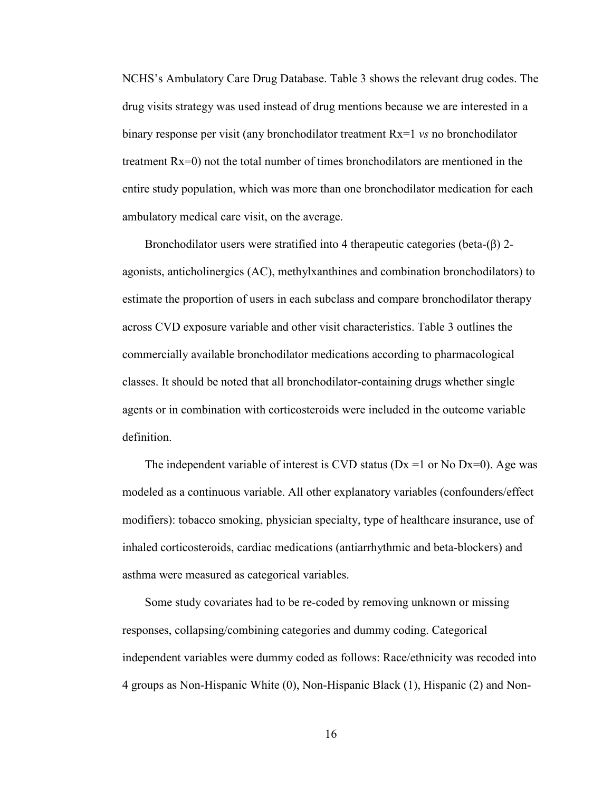NCHS's Ambulatory Care Drug Database. Table 3 shows the relevant drug codes. The drug visits strategy was used instead of drug mentions because we are interested in a binary response per visit (any bronchodilator treatment Rx=1 *vs* no bronchodilator treatment Rx=0) not the total number of times bronchodilators are mentioned in the entire study population, which was more than one bronchodilator medication for each ambulatory medical care visit, on the average.

Bronchodilator users were stratified into 4 therapeutic categories (beta- $(\beta)$ ) 2agonists, anticholinergics (AC), methylxanthines and combination bronchodilators) to estimate the proportion of users in each subclass and compare bronchodilator therapy across CVD exposure variable and other visit characteristics. Table 3 outlines the commercially available bronchodilator medications according to pharmacological classes. It should be noted that all bronchodilator-containing drugs whether single agents or in combination with corticosteroids were included in the outcome variable definition.

The independent variable of interest is CVD status ( $Dx = 1$  or No  $Dx = 0$ ). Age was modeled as a continuous variable. All other explanatory variables (confounders/effect modifiers): tobacco smoking, physician specialty, type of healthcare insurance, use of inhaled corticosteroids, cardiac medications (antiarrhythmic and beta-blockers) and asthma were measured as categorical variables.

Some study covariates had to be re-coded by removing unknown or missing responses, collapsing/combining categories and dummy coding. Categorical independent variables were dummy coded as follows: Race/ethnicity was recoded into 4 groups as Non-Hispanic White (0), Non-Hispanic Black (1), Hispanic (2) and Non-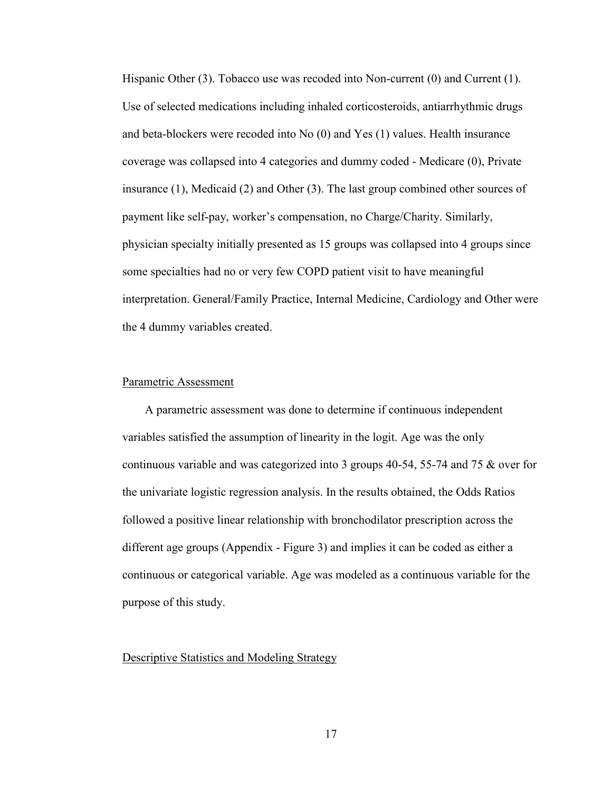Hispanic Other (3). Tobacco use was recoded into Non-current (0) and Current (1). Use of selected medications including inhaled corticosteroids, antiarrhythmic drugs and beta-blockers were recoded into No (0) and Yes (1) values. Health insurance coverage was collapsed into 4 categories and dummy coded - Medicare (0), Private insurance (1), Medicaid (2) and Other (3). The last group combined other sources of payment like self-pay, worker's compensation, no Charge/Charity. Similarly, physician specialty initially presented as 15 groups was collapsed into 4 groups since some specialties had no or very few COPD patient visit to have meaningful interpretation. General/Family Practice, Internal Medicine, Cardiology and Other were the 4 dummy variables created.

#### Parametric Assessment

A parametric assessment was done to determine if continuous independent variables satisfied the assumption of linearity in the logit. Age was the only continuous variable and was categorized into 3 groups 40-54, 55-74 and 75 & over for the univariate logistic regression analysis. In the results obtained, the Odds Ratios followed a positive linear relationship with bronchodilator prescription across the different age groups (Appendix - Figure 3) and implies it can be coded as either a continuous or categorical variable. Age was modeled as a continuous variable for the purpose of this study.

#### Descriptive Statistics and Modeling Strategy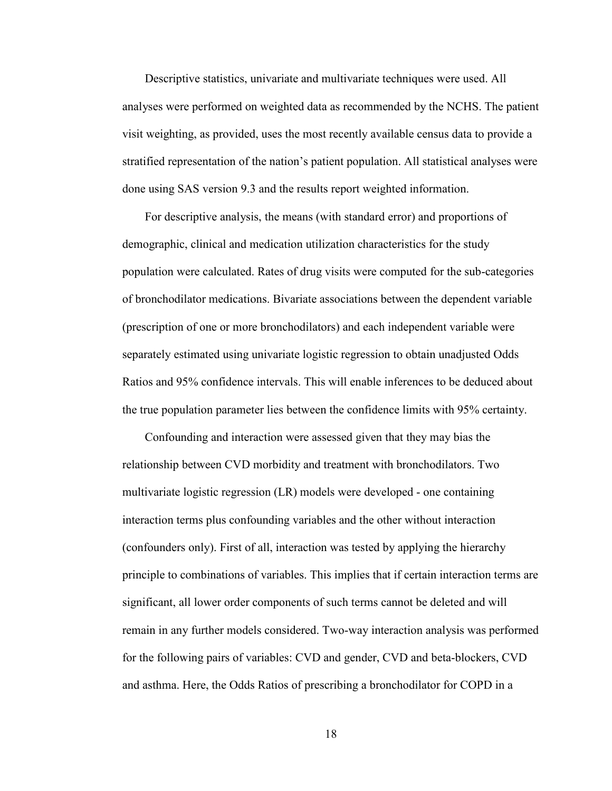Descriptive statistics, univariate and multivariate techniques were used. All analyses were performed on weighted data as recommended by the NCHS. The patient visit weighting, as provided, uses the most recently available census data to provide a stratified representation of the nation's patient population. All statistical analyses were done using SAS version 9.3 and the results report weighted information.

For descriptive analysis, the means (with standard error) and proportions of demographic, clinical and medication utilization characteristics for the study population were calculated. Rates of drug visits were computed for the sub-categories of bronchodilator medications. Bivariate associations between the dependent variable (prescription of one or more bronchodilators) and each independent variable were separately estimated using univariate logistic regression to obtain unadjusted Odds Ratios and 95% confidence intervals. This will enable inferences to be deduced about the true population parameter lies between the confidence limits with 95% certainty.

Confounding and interaction were assessed given that they may bias the relationship between CVD morbidity and treatment with bronchodilators. Two multivariate logistic regression (LR) models were developed - one containing interaction terms plus confounding variables and the other without interaction (confounders only). First of all, interaction was tested by applying the hierarchy principle to combinations of variables. This implies that if certain interaction terms are significant, all lower order components of such terms cannot be deleted and will remain in any further models considered. Two-way interaction analysis was performed for the following pairs of variables: CVD and gender, CVD and beta-blockers, CVD and asthma. Here, the Odds Ratios of prescribing a bronchodilator for COPD in a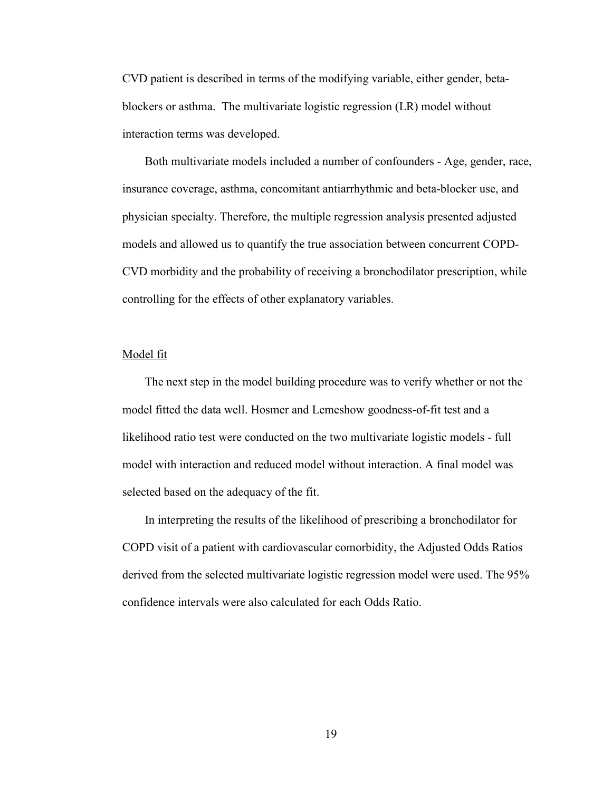CVD patient is described in terms of the modifying variable, either gender, betablockers or asthma. The multivariate logistic regression (LR) model without interaction terms was developed.

Both multivariate models included a number of confounders - Age, gender, race, insurance coverage, asthma, concomitant antiarrhythmic and beta-blocker use, and physician specialty. Therefore, the multiple regression analysis presented adjusted models and allowed us to quantify the true association between concurrent COPD-CVD morbidity and the probability of receiving a bronchodilator prescription, while controlling for the effects of other explanatory variables.

#### Model fit

The next step in the model building procedure was to verify whether or not the model fitted the data well. Hosmer and Lemeshow goodness-of-fit test and a likelihood ratio test were conducted on the two multivariate logistic models - full model with interaction and reduced model without interaction. A final model was selected based on the adequacy of the fit.

In interpreting the results of the likelihood of prescribing a bronchodilator for COPD visit of a patient with cardiovascular comorbidity, the Adjusted Odds Ratios derived from the selected multivariate logistic regression model were used. The 95% confidence intervals were also calculated for each Odds Ratio.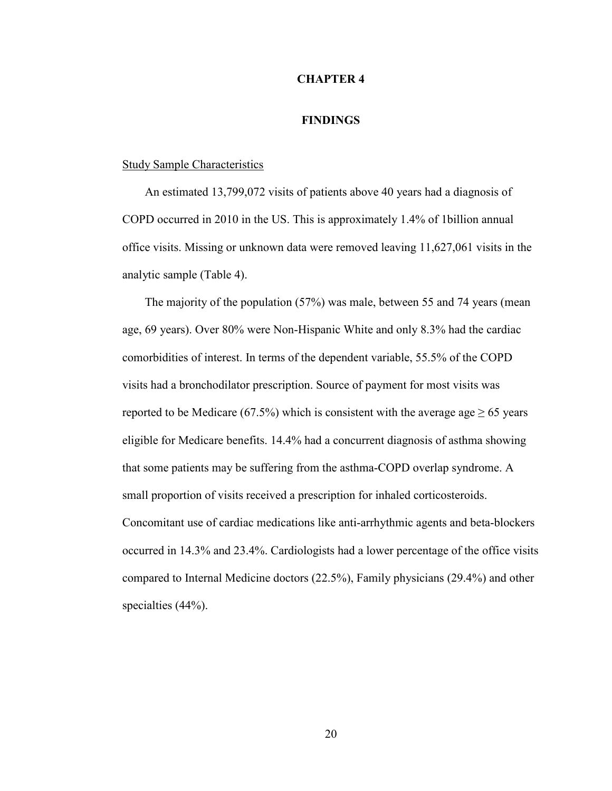#### **CHAPTER 4**

#### **FINDINGS**

#### Study Sample Characteristics

An estimated 13,799,072 visits of patients above 40 years had a diagnosis of COPD occurred in 2010 in the US. This is approximately 1.4% of 1billion annual office visits. Missing or unknown data were removed leaving 11,627,061 visits in the analytic sample (Table 4).

The majority of the population (57%) was male, between 55 and 74 years (mean age, 69 years). Over 80% were Non-Hispanic White and only 8.3% had the cardiac comorbidities of interest. In terms of the dependent variable, 55.5% of the COPD visits had a bronchodilator prescription. Source of payment for most visits was reported to be Medicare (67.5%) which is consistent with the average age  $\geq 65$  years eligible for Medicare benefits. 14.4% had a concurrent diagnosis of asthma showing that some patients may be suffering from the asthma-COPD overlap syndrome. A small proportion of visits received a prescription for inhaled corticosteroids. Concomitant use of cardiac medications like anti-arrhythmic agents and beta-blockers occurred in 14.3% and 23.4%. Cardiologists had a lower percentage of the office visits compared to Internal Medicine doctors (22.5%), Family physicians (29.4%) and other specialties (44%).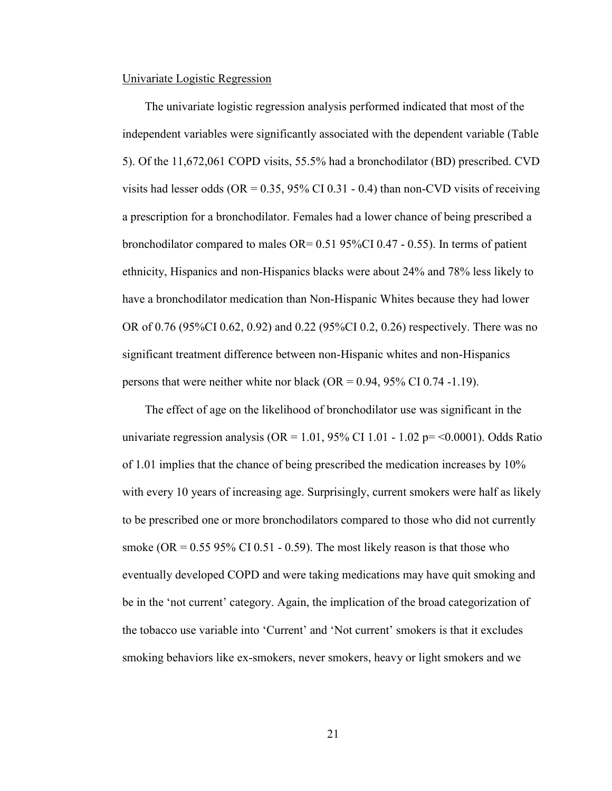#### Univariate Logistic Regression

The univariate logistic regression analysis performed indicated that most of the independent variables were significantly associated with the dependent variable (Table 5). Of the 11,672,061 COPD visits, 55.5% had a bronchodilator (BD) prescribed. CVD visits had lesser odds (OR =  $0.35$ , 95% CI 0.31 - 0.4) than non-CVD visits of receiving a prescription for a bronchodilator. Females had a lower chance of being prescribed a bronchodilator compared to males  $OR = 0.51$  95%CI 0.47 - 0.55). In terms of patient ethnicity, Hispanics and non-Hispanics blacks were about 24% and 78% less likely to have a bronchodilator medication than Non-Hispanic Whites because they had lower OR of 0.76 (95%CI 0.62, 0.92) and 0.22 (95%CI 0.2, 0.26) respectively. There was no significant treatment difference between non-Hispanic whites and non-Hispanics persons that were neither white nor black (OR =  $0.94$ ,  $95\%$  CI 0.74 -1.19).

The effect of age on the likelihood of bronchodilator use was significant in the univariate regression analysis (OR =  $1.01$ , 95% CI  $1.01 - 1.02$  p= < 0.0001). Odds Ratio of 1.01 implies that the chance of being prescribed the medication increases by 10% with every 10 years of increasing age. Surprisingly, current smokers were half as likely to be prescribed one or more bronchodilators compared to those who did not currently smoke (OR =  $0.55$  95% CI 0.51 - 0.59). The most likely reason is that those who eventually developed COPD and were taking medications may have quit smoking and be in the 'not current' category. Again, the implication of the broad categorization of the tobacco use variable into 'Current' and 'Not current' smokers is that it excludes smoking behaviors like ex-smokers, never smokers, heavy or light smokers and we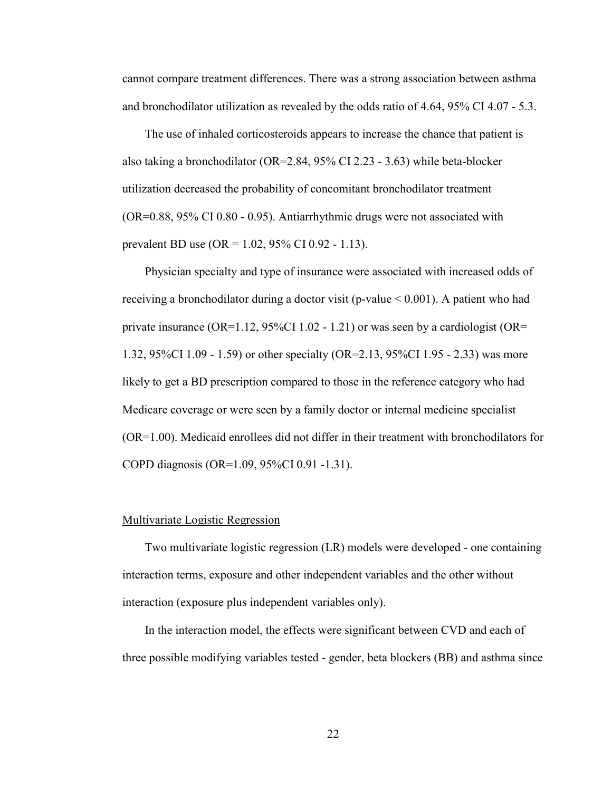cannot compare treatment differences. There was a strong association between asthma and bronchodilator utilization as revealed by the odds ratio of 4.64, 95% CI 4.07 - 5.3.

The use of inhaled corticosteroids appears to increase the chance that patient is also taking a bronchodilator (OR=2.84, 95% CI 2.23 - 3.63) while beta-blocker utilization decreased the probability of concomitant bronchodilator treatment (OR=0.88, 95% CI 0.80 - 0.95). Antiarrhythmic drugs were not associated with prevalent BD use (OR = 1.02, 95% CI 0.92 - 1.13).

Physician specialty and type of insurance were associated with increased odds of receiving a bronchodilator during a doctor visit (p-value  $\leq 0.001$ ). A patient who had private insurance (OR=1.12,  $95\%$ CI 1.02 - 1.21) or was seen by a cardiologist (OR= 1.32, 95%CI 1.09 - 1.59) or other specialty (OR=2.13, 95%CI 1.95 - 2.33) was more likely to get a BD prescription compared to those in the reference category who had Medicare coverage or were seen by a family doctor or internal medicine specialist (OR=1.00). Medicaid enrollees did not differ in their treatment with bronchodilators for COPD diagnosis (OR=1.09, 95%CI 0.91 -1.31).

#### Multivariate Logistic Regression

Two multivariate logistic regression (LR) models were developed - one containing interaction terms, exposure and other independent variables and the other without interaction (exposure plus independent variables only).

In the interaction model, the effects were significant between CVD and each of three possible modifying variables tested - gender, beta blockers (BB) and asthma since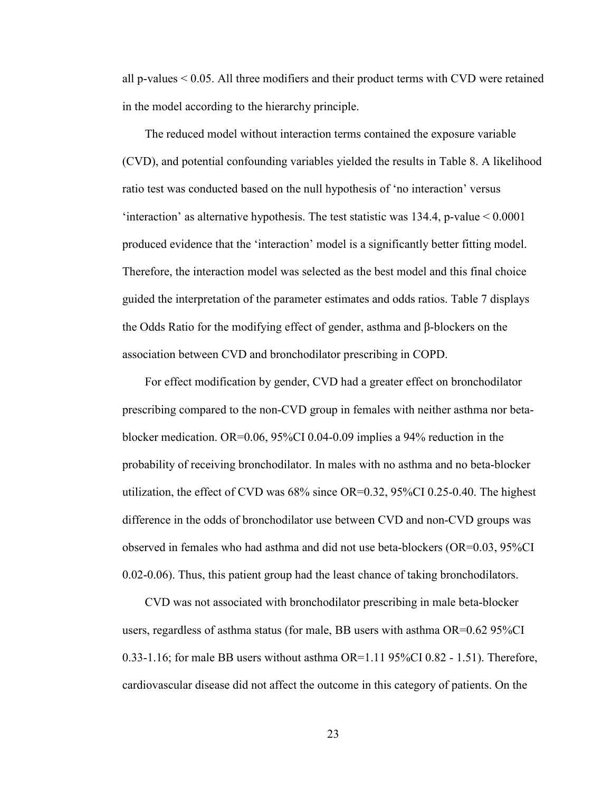all p-values  $\leq 0.05$ . All three modifiers and their product terms with CVD were retained in the model according to the hierarchy principle.

The reduced model without interaction terms contained the exposure variable (CVD), and potential confounding variables yielded the results in Table 8. A likelihood ratio test was conducted based on the null hypothesis of 'no interaction' versus 'interaction' as alternative hypothesis. The test statistic was  $134.4$ , p-value  $\leq 0.0001$ produced evidence that the 'interaction' model is a significantly better fitting model. Therefore, the interaction model was selected as the best model and this final choice guided the interpretation of the parameter estimates and odds ratios. Table 7 displays the Odds Ratio for the modifying effect of gender, asthma and β-blockers on the association between CVD and bronchodilator prescribing in COPD.

For effect modification by gender, CVD had a greater effect on bronchodilator prescribing compared to the non-CVD group in females with neither asthma nor betablocker medication. OR=0.06, 95%CI 0.04-0.09 implies a 94% reduction in the probability of receiving bronchodilator. In males with no asthma and no beta-blocker utilization, the effect of CVD was 68% since OR=0.32, 95%CI 0.25-0.40. The highest difference in the odds of bronchodilator use between CVD and non-CVD groups was observed in females who had asthma and did not use beta-blockers (OR=0.03, 95%CI 0.02-0.06). Thus, this patient group had the least chance of taking bronchodilators.

CVD was not associated with bronchodilator prescribing in male beta-blocker users, regardless of asthma status (for male, BB users with asthma OR=0.62 95%CI 0.33-1.16; for male BB users without asthma  $OR=1.11$  95%CI 0.82 - 1.51). Therefore, cardiovascular disease did not affect the outcome in this category of patients. On the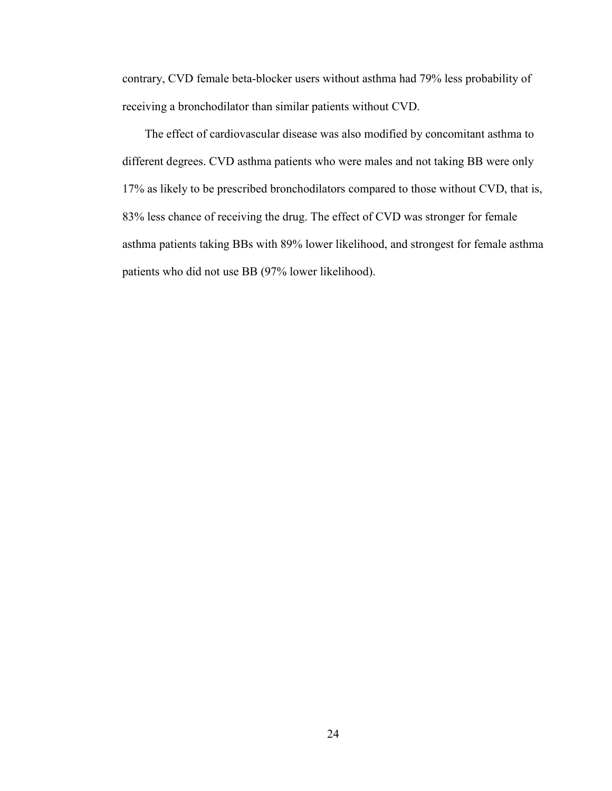contrary, CVD female beta-blocker users without asthma had 79% less probability of receiving a bronchodilator than similar patients without CVD.

The effect of cardiovascular disease was also modified by concomitant asthma to different degrees. CVD asthma patients who were males and not taking BB were only 17% as likely to be prescribed bronchodilators compared to those without CVD, that is, 83% less chance of receiving the drug. The effect of CVD was stronger for female asthma patients taking BBs with 89% lower likelihood, and strongest for female asthma patients who did not use BB (97% lower likelihood).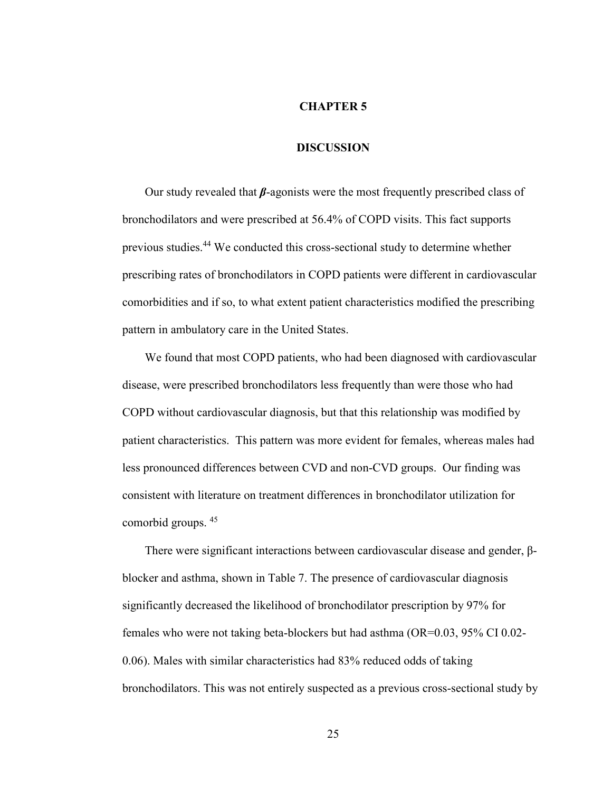#### **CHAPTER 5**

### **DISCUSSION**

Our study revealed that *β*-agonists were the most frequently prescribed class of bronchodilators and were prescribed at 56.4% of COPD visits. This fact supports previous studies.<sup>44</sup> We conducted this cross-sectional study to determine whether prescribing rates of bronchodilators in COPD patients were different in cardiovascular comorbidities and if so, to what extent patient characteristics modified the prescribing pattern in ambulatory care in the United States.

We found that most COPD patients, who had been diagnosed with cardiovascular disease, were prescribed bronchodilators less frequently than were those who had COPD without cardiovascular diagnosis, but that this relationship was modified by patient characteristics. This pattern was more evident for females, whereas males had less pronounced differences between CVD and non-CVD groups. Our finding was consistent with literature on treatment differences in bronchodilator utilization for comorbid groups. <sup>45</sup>

There were significant interactions between cardiovascular disease and gender, βblocker and asthma, shown in Table 7. The presence of cardiovascular diagnosis significantly decreased the likelihood of bronchodilator prescription by 97% for females who were not taking beta-blockers but had asthma (OR=0.03, 95% CI 0.02- 0.06). Males with similar characteristics had 83% reduced odds of taking bronchodilators. This was not entirely suspected as a previous cross-sectional study by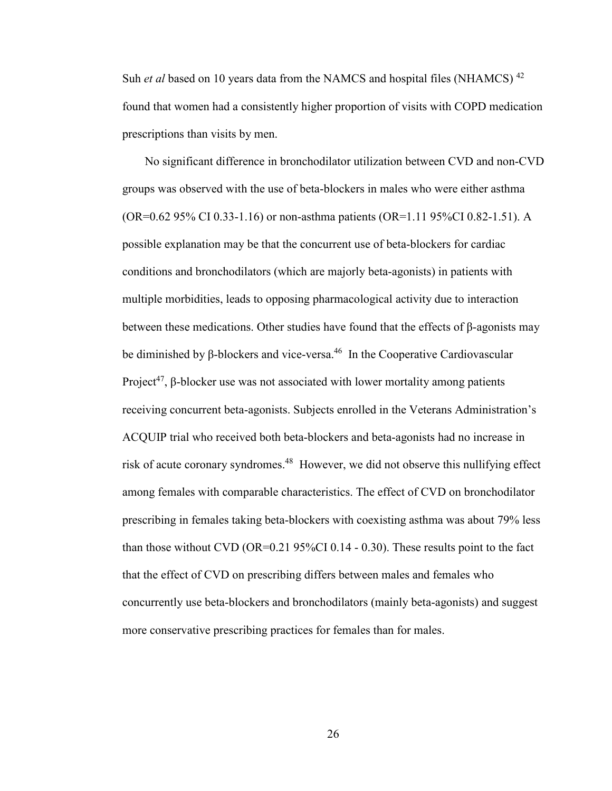Suh *et al* based on 10 years data from the NAMCS and hospital files (NHAMCS)<sup>42</sup> found that women had a consistently higher proportion of visits with COPD medication prescriptions than visits by men.

No significant difference in bronchodilator utilization between CVD and non-CVD groups was observed with the use of beta-blockers in males who were either asthma (OR=0.62 95% CI 0.33-1.16) or non-asthma patients (OR=1.11 95%CI 0.82-1.51). A possible explanation may be that the concurrent use of beta-blockers for cardiac conditions and bronchodilators (which are majorly beta-agonists) in patients with multiple morbidities, leads to opposing pharmacological activity due to interaction between these medications. Other studies have found that the effects of  $\beta$ -agonists may be diminished by β-blockers and vice-versa.<sup>46</sup> In the Cooperative Cardiovascular Project<sup>47</sup>, β-blocker use was not associated with lower mortality among patients receiving concurrent beta-agonists. Subjects enrolled in the Veterans Administration's ACQUIP trial who received both beta-blockers and beta-agonists had no increase in risk of acute coronary syndromes.<sup>48</sup> However, we did not observe this nullifying effect among females with comparable characteristics. The effect of CVD on bronchodilator prescribing in females taking beta-blockers with coexisting asthma was about 79% less than those without CVD (OR=0.21 95%CI 0.14 - 0.30). These results point to the fact that the effect of CVD on prescribing differs between males and females who concurrently use beta-blockers and bronchodilators (mainly beta-agonists) and suggest more conservative prescribing practices for females than for males.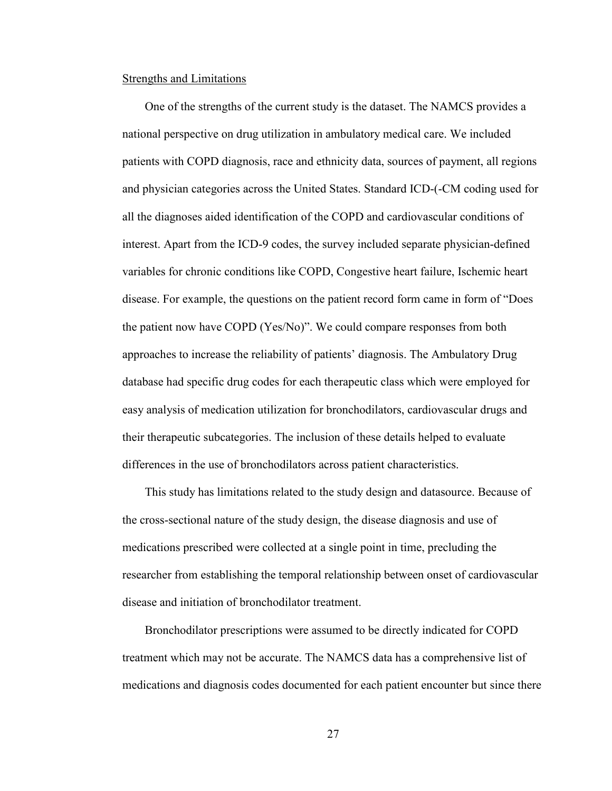#### Strengths and Limitations

One of the strengths of the current study is the dataset. The NAMCS provides a national perspective on drug utilization in ambulatory medical care. We included patients with COPD diagnosis, race and ethnicity data, sources of payment, all regions and physician categories across the United States. Standard ICD-(-CM coding used for all the diagnoses aided identification of the COPD and cardiovascular conditions of interest. Apart from the ICD-9 codes, the survey included separate physician-defined variables for chronic conditions like COPD, Congestive heart failure, Ischemic heart disease. For example, the questions on the patient record form came in form of "Does the patient now have COPD (Yes/No)". We could compare responses from both approaches to increase the reliability of patients' diagnosis. The Ambulatory Drug database had specific drug codes for each therapeutic class which were employed for easy analysis of medication utilization for bronchodilators, cardiovascular drugs and their therapeutic subcategories. The inclusion of these details helped to evaluate differences in the use of bronchodilators across patient characteristics.

This study has limitations related to the study design and datasource. Because of the cross-sectional nature of the study design, the disease diagnosis and use of medications prescribed were collected at a single point in time, precluding the researcher from establishing the temporal relationship between onset of cardiovascular disease and initiation of bronchodilator treatment.

Bronchodilator prescriptions were assumed to be directly indicated for COPD treatment which may not be accurate. The NAMCS data has a comprehensive list of medications and diagnosis codes documented for each patient encounter but since there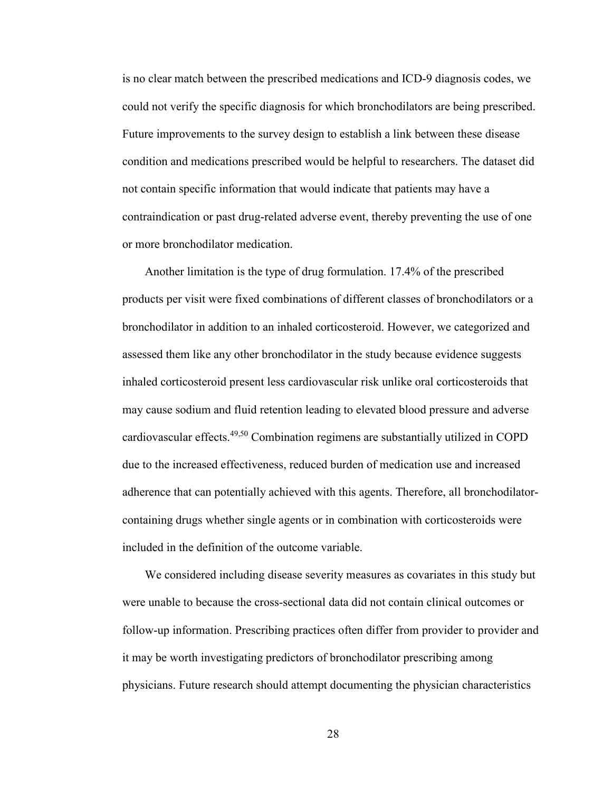is no clear match between the prescribed medications and ICD-9 diagnosis codes, we could not verify the specific diagnosis for which bronchodilators are being prescribed. Future improvements to the survey design to establish a link between these disease condition and medications prescribed would be helpful to researchers. The dataset did not contain specific information that would indicate that patients may have a contraindication or past drug-related adverse event, thereby preventing the use of one or more bronchodilator medication.

Another limitation is the type of drug formulation. 17.4% of the prescribed products per visit were fixed combinations of different classes of bronchodilators or a bronchodilator in addition to an inhaled corticosteroid. However, we categorized and assessed them like any other bronchodilator in the study because evidence suggests inhaled corticosteroid present less cardiovascular risk unlike oral corticosteroids that may cause sodium and fluid retention leading to elevated blood pressure and adverse cardiovascular effects. $49,50$  Combination regimens are substantially utilized in COPD due to the increased effectiveness, reduced burden of medication use and increased adherence that can potentially achieved with this agents. Therefore, all bronchodilatorcontaining drugs whether single agents or in combination with corticosteroids were included in the definition of the outcome variable.

We considered including disease severity measures as covariates in this study but were unable to because the cross-sectional data did not contain clinical outcomes or follow-up information. Prescribing practices often differ from provider to provider and it may be worth investigating predictors of bronchodilator prescribing among physicians. Future research should attempt documenting the physician characteristics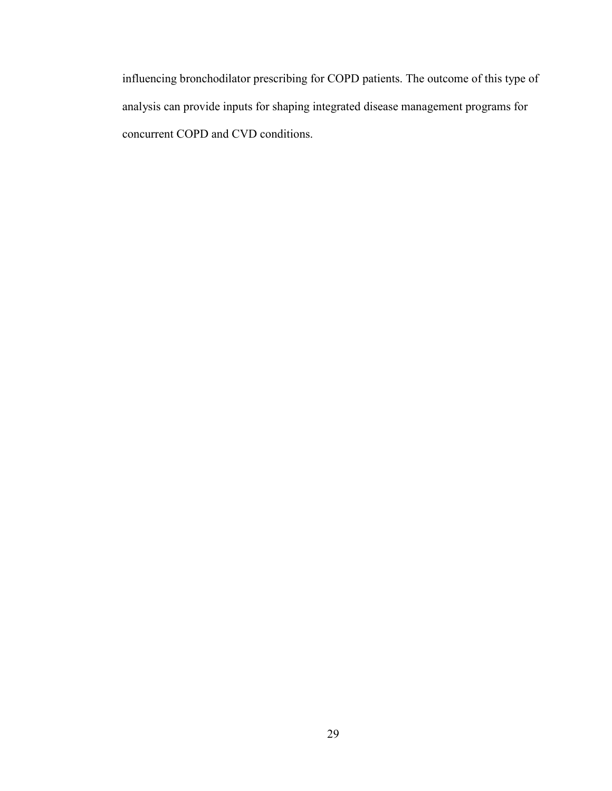influencing bronchodilator prescribing for COPD patients. The outcome of this type of analysis can provide inputs for shaping integrated disease management programs for concurrent COPD and CVD conditions.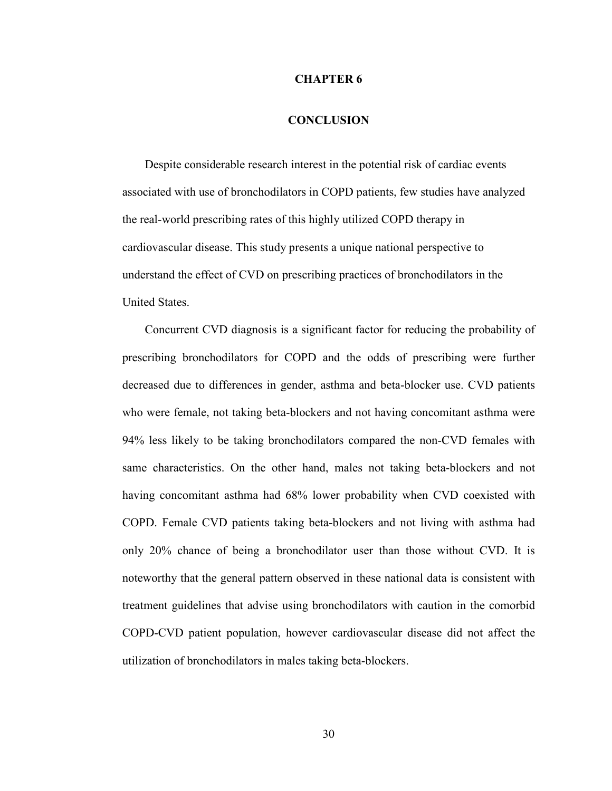#### **CHAPTER 6**

#### **CONCLUSION**

Despite considerable research interest in the potential risk of cardiac events associated with use of bronchodilators in COPD patients, few studies have analyzed the real-world prescribing rates of this highly utilized COPD therapy in cardiovascular disease. This study presents a unique national perspective to understand the effect of CVD on prescribing practices of bronchodilators in the United States.

Concurrent CVD diagnosis is a significant factor for reducing the probability of prescribing bronchodilators for COPD and the odds of prescribing were further decreased due to differences in gender, asthma and beta-blocker use. CVD patients who were female, not taking beta-blockers and not having concomitant asthma were 94% less likely to be taking bronchodilators compared the non-CVD females with same characteristics. On the other hand, males not taking beta-blockers and not having concomitant asthma had 68% lower probability when CVD coexisted with COPD. Female CVD patients taking beta-blockers and not living with asthma had only 20% chance of being a bronchodilator user than those without CVD. It is noteworthy that the general pattern observed in these national data is consistent with treatment guidelines that advise using bronchodilators with caution in the comorbid COPD-CVD patient population, however cardiovascular disease did not affect the utilization of bronchodilators in males taking beta-blockers.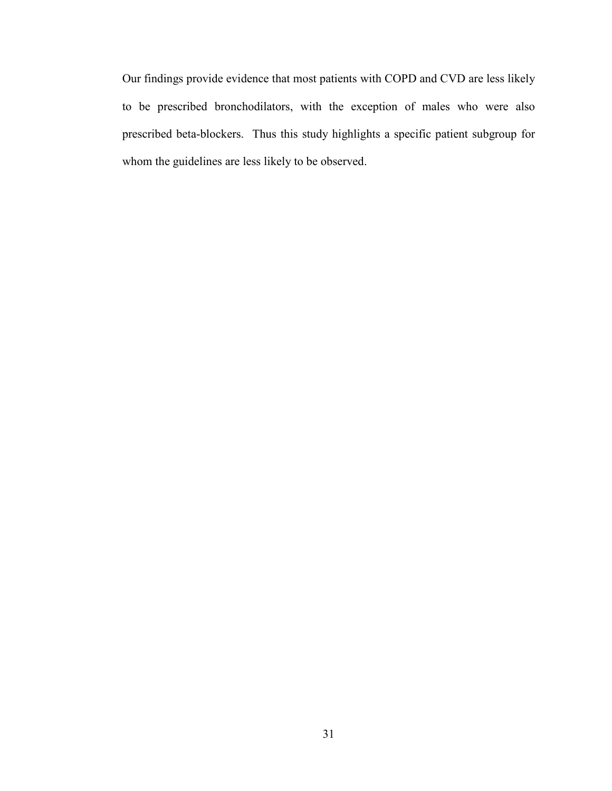Our findings provide evidence that most patients with COPD and CVD are less likely to be prescribed bronchodilators, with the exception of males who were also prescribed beta-blockers. Thus this study highlights a specific patient subgroup for whom the guidelines are less likely to be observed.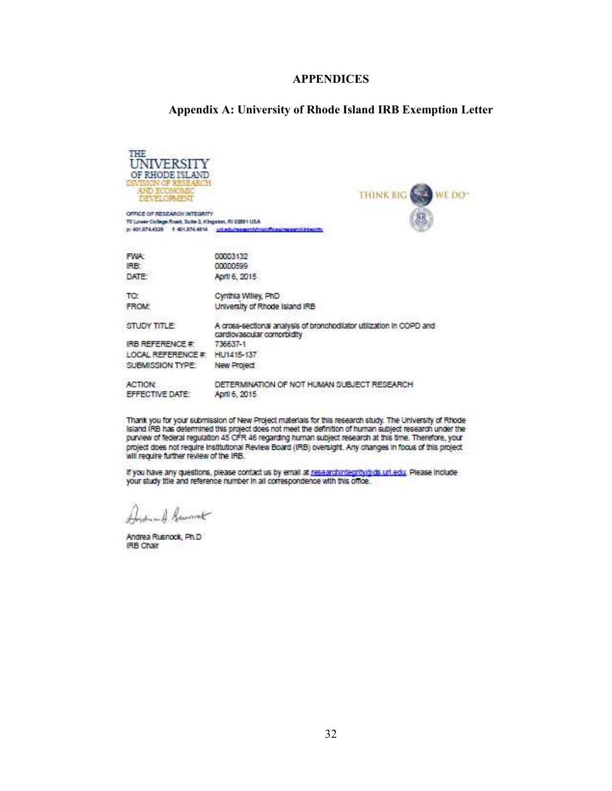#### **APPENDICES**

#### **Appendix A: University of Rhode Island IRB Exemption Letter**



Thank you for your submission of New Project materials for this research study. The University of Rhode island IRB has determined this project does not meet the definition of human subject research under the purview of federal regulation 45 CFR 46 regarding human subject research at this time. Therefore, your project does not require institutional Review Board (IRB) oversight. Any changes in focus of this project will require further review of the IRB.

If you have any questions, please contact us by email at researchintegrity@ds.url.edu. Please include your study title and reference number in all correspondence with this office.

Andread Guerrat

Andrea Rusnock, Ph.D. **IRB Chair**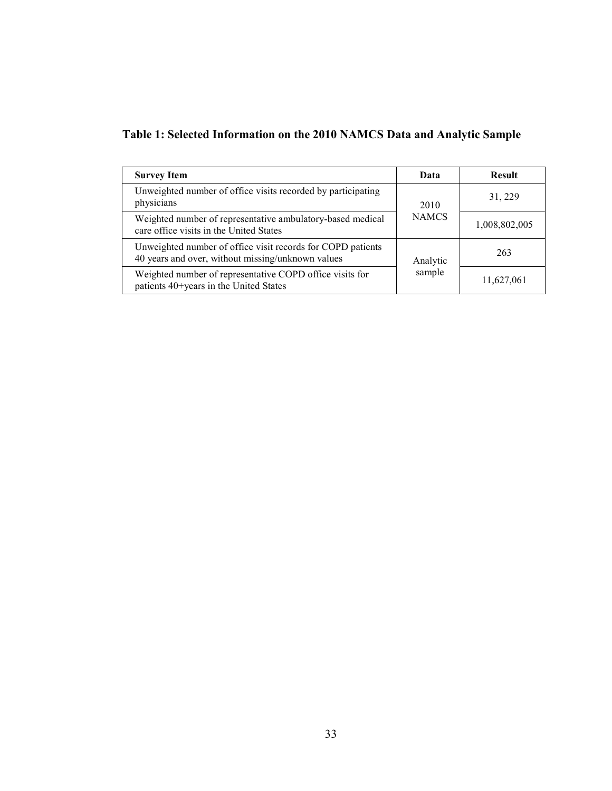| Table 1: Selected Information on the 2010 NAMCS Data and Analytic Sample |
|--------------------------------------------------------------------------|
|--------------------------------------------------------------------------|

| <b>Survey Item</b>                                                                                               | Data         | <b>Result</b> |
|------------------------------------------------------------------------------------------------------------------|--------------|---------------|
| Unweighted number of office visits recorded by participating<br>physicians                                       | 2010         | 31, 229       |
| Weighted number of representative ambulatory-based medical<br>care office visits in the United States            | <b>NAMCS</b> | 1,008,802,005 |
| Unweighted number of office visit records for COPD patients<br>40 years and over, without missing/unknown values | Analytic     | 263           |
| Weighted number of representative COPD office visits for<br>patients 40+years in the United States               | sample       | 11,627,061    |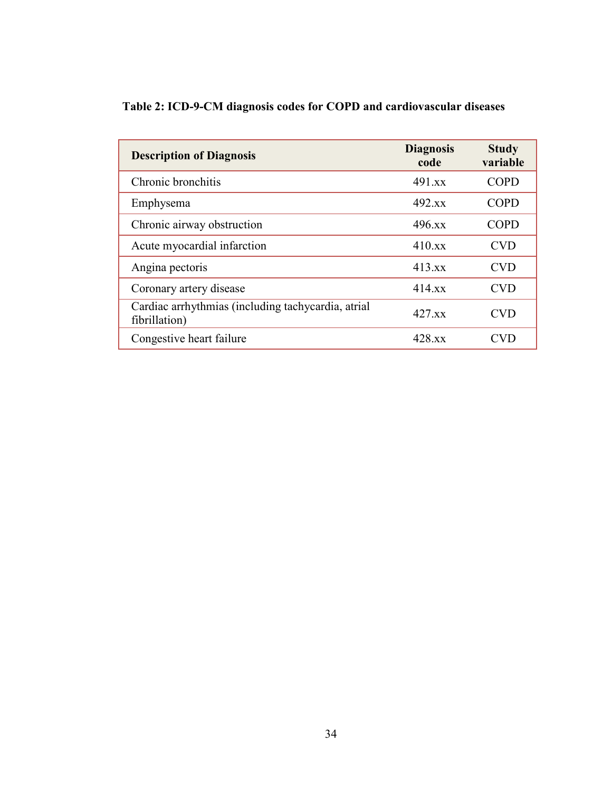| <b>Description of Diagnosis</b>                                     | <b>Diagnosis</b><br>code | <b>Study</b><br>variable |
|---------------------------------------------------------------------|--------------------------|--------------------------|
| Chronic bronchitis                                                  | 491 xx                   | <b>COPD</b>              |
| Emphysema                                                           | 492.x                    | <b>COPD</b>              |
| Chronic airway obstruction                                          | $496$ xx                 | <b>COPD</b>              |
| Acute myocardial infarction                                         | $410$ xx                 | <b>CVD</b>               |
| Angina pectoris                                                     | 413.xx                   | <b>CVD</b>               |
| Coronary artery disease                                             | $414$ xx                 | <b>CVD</b>               |
| Cardiac arrhythmias (including tachycardia, atrial<br>fibrillation) | $427$ xx                 | <b>CVD</b>               |
| Congestive heart failure                                            | 428 xx                   |                          |

# **Table 2: ICD-9-CM diagnosis codes for COPD and cardiovascular diseases**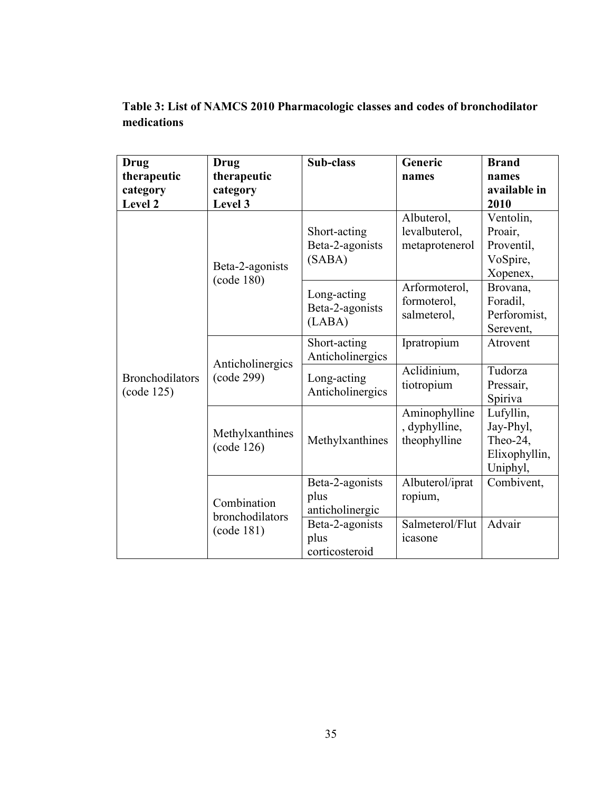**Table 3: List of NAMCS 2010 Pharmacologic classes and codes of bronchodilator medications**

| Drug                                 | Drug                           | Sub-class                                  | Generic                                        | <b>Brand</b>                                                    |
|--------------------------------------|--------------------------------|--------------------------------------------|------------------------------------------------|-----------------------------------------------------------------|
| therapeutic                          | therapeutic                    |                                            | names                                          | names                                                           |
| category                             | category                       |                                            |                                                | available in                                                    |
| Level 2                              | Level 3                        |                                            |                                                | 2010                                                            |
|                                      | Beta-2-agonists<br>(code 180)  | Short-acting<br>Beta-2-agonists<br>(SABA)  | Albuterol,<br>levalbuterol,<br>metaprotenerol  | Ventolin,<br>Proair,<br>Proventil,<br>VoSpire,<br>Xopenex,      |
|                                      |                                | Long-acting<br>Beta-2-agonists<br>(LABA)   | Arformoterol,<br>formoterol,<br>salmeterol,    | Brovana,<br>Foradil,<br>Perforomist,<br>Serevent,               |
|                                      | Anticholinergics               | Short-acting<br>Anticholinergics           | Ipratropium                                    | Atrovent                                                        |
| <b>Bronchodilators</b><br>(code 125) | (code 299)                     | Long-acting<br>Anticholinergics            | Aclidinium,<br>tiotropium                      | Tudorza<br>Pressair,<br>Spiriva                                 |
|                                      | Methylxanthines<br>(code 126)  | Methylxanthines                            | Aminophylline<br>, dyphylline,<br>theophylline | Lufyllin,<br>Jay-Phyl,<br>Theo-24,<br>Elixophyllin,<br>Uniphyl, |
|                                      | Combination<br>bronchodilators | Beta-2-agonists<br>plus<br>anticholinergic | Albuterol/iprat<br>ropium,                     | Combivent,                                                      |
|                                      | (code 181)                     | Beta-2-agonists<br>plus<br>corticosteroid  | Salmeterol/Flut<br>icasone                     | Advair                                                          |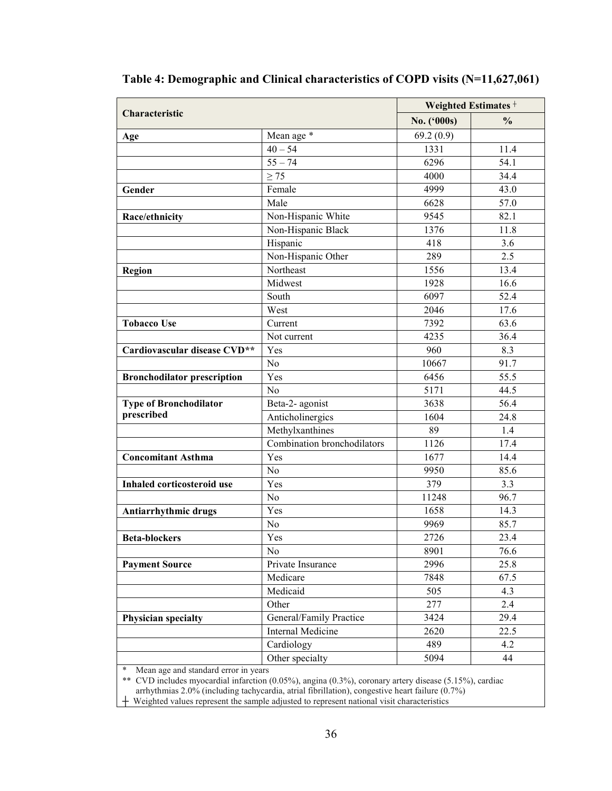|                                    |                             | Weighted Estimates <sup>+</sup> |               |
|------------------------------------|-----------------------------|---------------------------------|---------------|
| Characteristic                     |                             | No. ('000s)                     | $\frac{0}{0}$ |
| Age                                | Mean age *                  | 69.2(0.9)                       |               |
|                                    | $40 - 54$                   | 1331                            | 11.4          |
|                                    | $55 - 74$                   | 6296                            | 54.1          |
|                                    | $\geq$ 75                   | 4000                            | 34.4          |
| Gender                             | Female                      | 4999                            | 43.0          |
|                                    | Male                        | 6628                            | 57.0          |
| Race/ethnicity                     | Non-Hispanic White          | 9545                            | 82.1          |
|                                    | Non-Hispanic Black          | 1376                            | 11.8          |
|                                    | Hispanic                    | 418                             | 3.6           |
|                                    | Non-Hispanic Other          | 289                             | 2.5           |
| Region                             | Northeast                   | 1556                            | 13.4          |
|                                    | Midwest                     | 1928                            | 16.6          |
|                                    | South                       | 6097                            | 52.4          |
|                                    | West                        | 2046                            | 17.6          |
| <b>Tobacco Use</b>                 | Current                     | 7392                            | 63.6          |
|                                    | Not current                 | 4235                            | 36.4          |
| Cardiovascular disease CVD**       | Yes                         | 960                             | 8.3           |
|                                    | N <sub>0</sub>              | 10667                           | 91.7          |
| <b>Bronchodilator prescription</b> | Yes                         | 6456                            | 55.5          |
|                                    | N <sub>0</sub>              | 5171                            | 44.5          |
| Type of Bronchodilator             | Beta-2- agonist             | 3638                            | 56.4          |
| prescribed                         | Anticholinergics            | 1604                            | 24.8          |
|                                    | Methylxanthines             | 89                              | 1.4           |
|                                    | Combination bronchodilators | 1126                            | 17.4          |
| <b>Concomitant Asthma</b>          | Yes                         | 1677                            | 14.4          |
|                                    | No                          | 9950                            | 85.6          |
| Inhaled corticosteroid use         | Yes                         | 379                             | 3.3           |
|                                    | N <sub>o</sub>              | 11248                           | 96.7          |
| Antiarrhythmic drugs               | Yes                         | 1658                            | 14.3          |
|                                    | N <sub>o</sub>              | 9969                            | 85.7          |
| <b>Beta-blockers</b>               | Yes                         | 2726                            | 23.4          |
|                                    | N <sub>o</sub>              | 8901                            | 76.6          |
| <b>Payment Source</b>              | Private Insurance           | 2996                            | 25.8          |
|                                    | Medicare                    | 7848                            | 67.5          |
|                                    | Medicaid                    | 505                             | 4.3           |
|                                    | Other                       | 277                             | 2.4           |
| <b>Physician specialty</b>         | General/Family Practice     | 3424                            | 29.4          |
|                                    | <b>Internal Medicine</b>    | 2620                            | 22.5          |
|                                    | Cardiology                  | 489                             | 4.2           |
|                                    | Other specialty             | 5094                            | 44            |

**Table 4: Demographic and Clinical characteristics of COPD visits (N=11,627,061)** 

\* Mean age and standard error in years

\*\* CVD includes myocardial infarction (0.05%), angina (0.3%), coronary artery disease (5.15%), cardiac

arrhythmias 2.0% (including tachycardia, atrial fibrillation), congestive heart failure (0.7%)  $+$  Weighted values represent the sample adjusted to represent national visit characteristics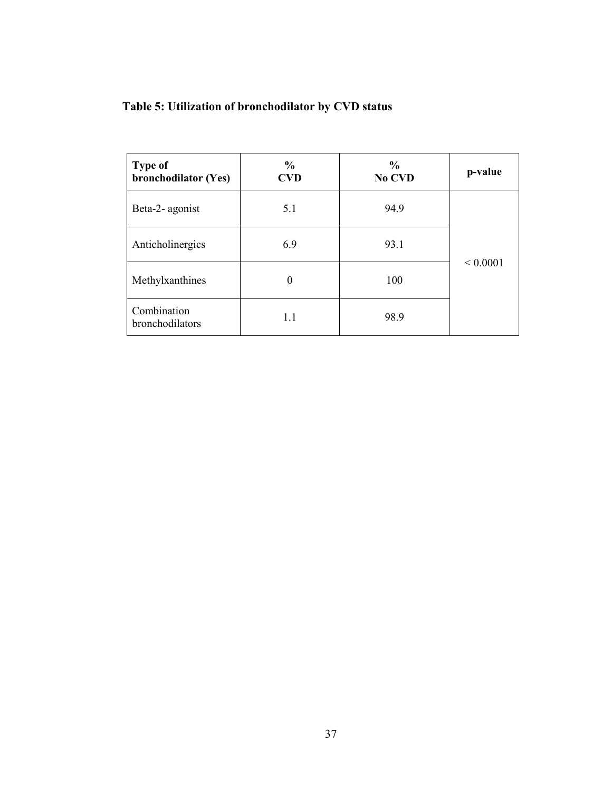| <b>Type of</b><br>bronchodilator (Yes) | $\frac{6}{6}$<br><b>CVD</b> | $\frac{6}{6}$<br>No CVD | p-value      |
|----------------------------------------|-----------------------------|-------------------------|--------------|
| Beta-2- agonist                        | 5.1                         | 94.9                    |              |
| Anticholinergics                       | 6.9                         | 93.1                    |              |
| Methylxanthines                        | 0                           | 100                     | ${}< 0.0001$ |
| Combination<br>bronchodilators         | 1.1                         | 98.9                    |              |

# **Table 5: Utilization of bronchodilator by CVD status**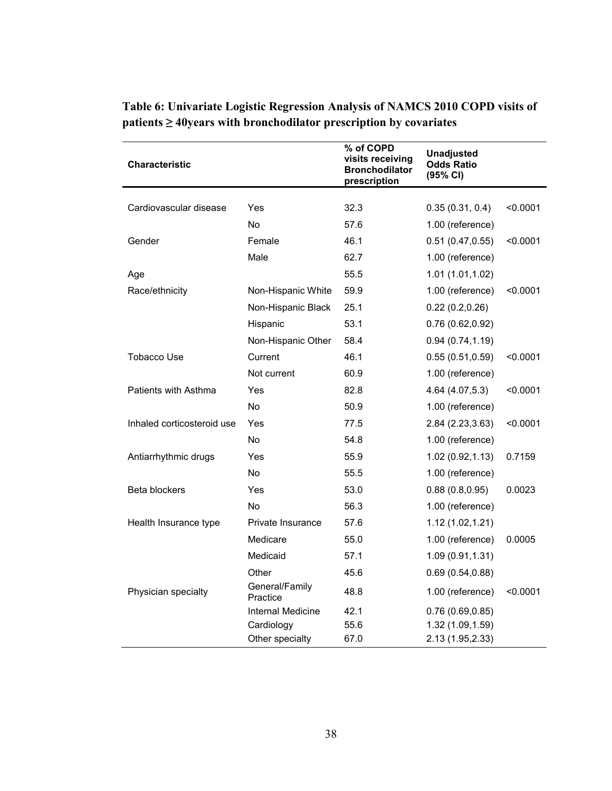| <b>Characteristic</b>      |                            | % of COPD<br>visits receiving<br><b>Bronchodilator</b><br>prescription | <b>Unadjusted</b><br><b>Odds Ratio</b><br>(95% CI) |          |
|----------------------------|----------------------------|------------------------------------------------------------------------|----------------------------------------------------|----------|
| Cardiovascular disease     | Yes                        | 32.3                                                                   | 0.35(0.31, 0.4)                                    | < 0.0001 |
|                            | <b>No</b>                  |                                                                        |                                                    |          |
|                            |                            | 57.6                                                                   | 1.00 (reference)                                   |          |
| Gender                     | Female                     | 46.1                                                                   | 0.51(0.47, 0.55)                                   | < 0.0001 |
|                            | Male                       | 62.7                                                                   | 1.00 (reference)                                   |          |
| Age                        |                            | 55.5                                                                   | 1.01 (1.01,1.02)                                   |          |
| Race/ethnicity             | Non-Hispanic White         | 59.9                                                                   | 1.00 (reference)                                   | < 0.0001 |
|                            | Non-Hispanic Black         | 25.1                                                                   | 0.22(0.2,0.26)                                     |          |
|                            | Hispanic                   | 53.1                                                                   | 0.76(0.62, 0.92)                                   |          |
|                            | Non-Hispanic Other         | 58.4                                                                   | 0.94(0.74, 1.19)                                   |          |
| <b>Tobacco Use</b>         | Current                    | 46.1                                                                   | 0.55(0.51, 0.59)                                   | < 0.0001 |
|                            | Not current                | 60.9                                                                   | 1.00 (reference)                                   |          |
| Patients with Asthma       | Yes                        | 82.8                                                                   | 4.64 (4.07,5.3)                                    | < 0.0001 |
|                            | No                         | 50.9                                                                   | 1.00 (reference)                                   |          |
| Inhaled corticosteroid use | Yes                        | 77.5                                                                   | 2.84 (2.23,3.63)                                   | < 0.0001 |
|                            | <b>No</b>                  | 54.8                                                                   | 1.00 (reference)                                   |          |
| Antiarrhythmic drugs       | Yes                        | 55.9                                                                   | 1.02(0.92, 1.13)                                   | 0.7159   |
|                            | No.                        | 55.5                                                                   | 1.00 (reference)                                   |          |
| Beta blockers              | Yes                        | 53.0                                                                   | 0.88(0.8, 0.95)                                    | 0.0023   |
|                            | No                         | 56.3                                                                   | 1.00 (reference)                                   |          |
| Health Insurance type      | Private Insurance          | 57.6                                                                   | 1.12 (1.02,1.21)                                   |          |
|                            | Medicare                   | 55.0                                                                   | 1.00 (reference)                                   | 0.0005   |
|                            | Medicaid                   | 57.1                                                                   | 1.09 (0.91,1.31)                                   |          |
|                            | Other                      | 45.6                                                                   | 0.69(0.54, 0.88)                                   |          |
| Physician specialty        | General/Family<br>Practice | 48.8                                                                   | 1.00 (reference)                                   | < 0.0001 |
|                            | Internal Medicine          | 42.1                                                                   | 0.76(0.69, 0.85)                                   |          |
|                            | Cardiology                 | 55.6                                                                   | 1.32 (1.09,1.59)                                   |          |
|                            | Other specialty            | 67.0                                                                   | 2.13 (1.95,2.33)                                   |          |

**Table 6: Univariate Logistic Regression Analysis of NAMCS 2010 COPD visits of patients ≥ 40years with bronchodilator prescription by covariates**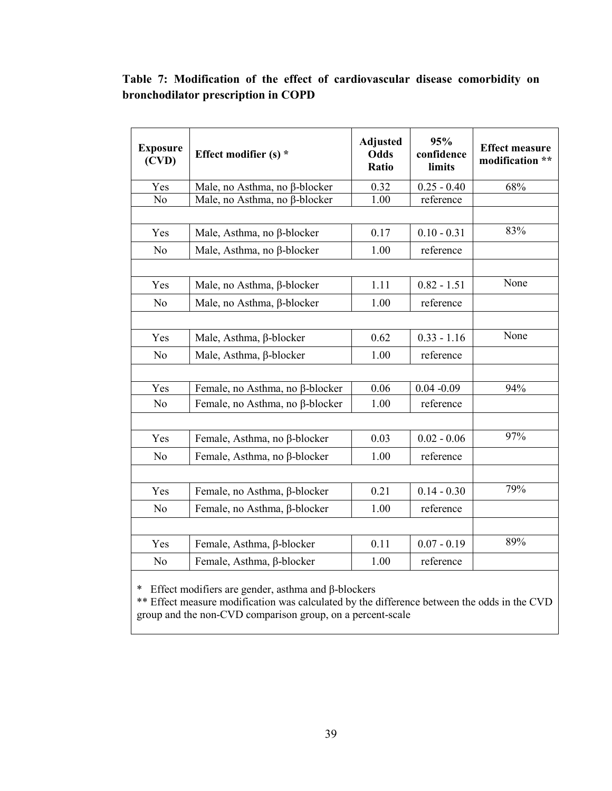## **Table 7: Modification of the effect of cardiovascular disease comorbidity on bronchodilator prescription in COPD**

| <b>Exposure</b><br>(CVD)                  | Effect modifier $(s)$ *         | <b>Adjusted</b><br><b>Odds</b><br>Ratio | 95%<br>confidence<br>limits | <b>Effect measure</b><br>modification ** |
|-------------------------------------------|---------------------------------|-----------------------------------------|-----------------------------|------------------------------------------|
| Yes                                       | Male, no Asthma, no β-blocker   | 0.32                                    | $0.25 - 0.40$               | 68%                                      |
| N <sub>o</sub>                            | Male, no Asthma, no β-blocker   | 1.00                                    | reference                   |                                          |
|                                           |                                 |                                         |                             |                                          |
| Yes                                       | Male, Asthma, no β-blocker      | 0.17                                    | $0.10 - 0.31$               | 83%                                      |
| N <sub>0</sub>                            | Male, Asthma, no β-blocker      | 1.00                                    | reference                   |                                          |
|                                           |                                 |                                         |                             |                                          |
| Yes                                       | Male, no Asthma, β-blocker      | 1.11                                    | $0.82 - 1.51$               | None                                     |
| N <sub>o</sub>                            | Male, no Asthma, β-blocker      | 1.00                                    | reference                   |                                          |
|                                           |                                 |                                         |                             |                                          |
| Yes                                       | Male, Asthma, β-blocker         | 0.62                                    | $0.33 - 1.16$               | None                                     |
| Male, Asthma, β-blocker<br>N <sub>o</sub> |                                 | 1.00                                    | reference                   |                                          |
|                                           |                                 |                                         |                             |                                          |
| Yes                                       | Female, no Asthma, no β-blocker | 0.06                                    | $0.04 - 0.09$               | 94%                                      |
| N <sub>o</sub>                            | Female, no Asthma, no β-blocker |                                         | reference                   |                                          |
|                                           |                                 |                                         |                             |                                          |
| Yes                                       | Female, Asthma, no β-blocker    | 0.03                                    | $0.02 - 0.06$               | 97%                                      |
| No                                        | Female, Asthma, no β-blocker    | 1.00                                    | reference                   |                                          |
|                                           |                                 |                                         |                             |                                          |
| Yes                                       | Female, no Asthma, β-blocker    | 0.21                                    | $0.14 - 0.30$               | 79%                                      |
| N <sub>0</sub>                            | Female, no Asthma, β-blocker    | 1.00                                    | reference                   |                                          |
|                                           |                                 |                                         |                             |                                          |
| Yes                                       | Female, Asthma, β-blocker       | 0.11                                    | $0.07 - 0.19$               | 89%                                      |
| N <sub>o</sub>                            | Female, Asthma, β-blocker       | 1.00                                    | reference                   |                                          |

\* Effect modifiers are gender, asthma and β-blockers

\*\* Effect measure modification was calculated by the difference between the odds in the CVD group and the non-CVD comparison group, on a percent-scale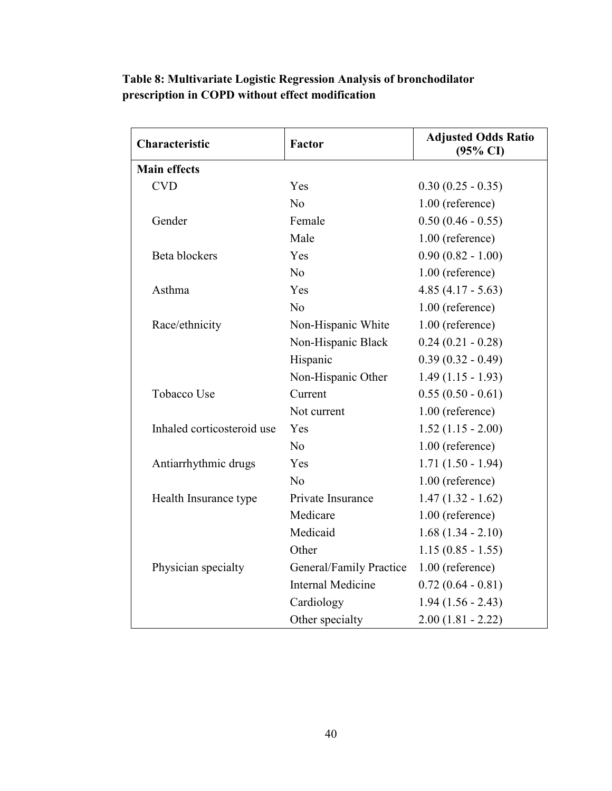| Characteristic             | Factor                   | <b>Adjusted Odds Ratio</b><br>$(95\% \text{ CI})$ |
|----------------------------|--------------------------|---------------------------------------------------|
| <b>Main effects</b>        |                          |                                                   |
| <b>CVD</b>                 | Yes                      | $0.30(0.25 - 0.35)$                               |
|                            | No                       | 1.00 (reference)                                  |
| Gender                     | Female                   | $0.50(0.46 - 0.55)$                               |
|                            | Male                     | 1.00 (reference)                                  |
| Beta blockers              | Yes                      | $0.90(0.82 - 1.00)$                               |
|                            | No                       | 1.00 (reference)                                  |
| Asthma                     | Yes                      | $4.85(4.17 - 5.63)$                               |
|                            | N <sub>o</sub>           | 1.00 (reference)                                  |
| Race/ethnicity             | Non-Hispanic White       | 1.00 (reference)                                  |
|                            | Non-Hispanic Black       | $0.24(0.21 - 0.28)$                               |
|                            | Hispanic                 | $0.39(0.32 - 0.49)$                               |
|                            | Non-Hispanic Other       | $1.49(1.15 - 1.93)$                               |
| <b>Tobacco Use</b>         | Current                  | $0.55(0.50 - 0.61)$                               |
|                            | Not current              | 1.00 (reference)                                  |
| Inhaled corticosteroid use | Yes                      | $1.52(1.15 - 2.00)$                               |
|                            | N <sub>0</sub>           | 1.00 (reference)                                  |
| Antiarrhythmic drugs       | Yes                      | $1.71(1.50 - 1.94)$                               |
|                            | No                       | 1.00 (reference)                                  |
| Health Insurance type      | Private Insurance        | $1.47(1.32 - 1.62)$                               |
|                            | Medicare                 | 1.00 (reference)                                  |
|                            | Medicaid                 | $1.68(1.34 - 2.10)$                               |
|                            | Other                    | $1.15(0.85 - 1.55)$                               |
| Physician specialty        | General/Family Practice  | 1.00 (reference)                                  |
|                            | <b>Internal Medicine</b> | $0.72(0.64 - 0.81)$                               |
|                            | Cardiology               | $1.94(1.56 - 2.43)$                               |
|                            | Other specialty          | $2.00(1.81 - 2.22)$                               |

## **Table 8: Multivariate Logistic Regression Analysis of bronchodilator prescription in COPD without effect modification**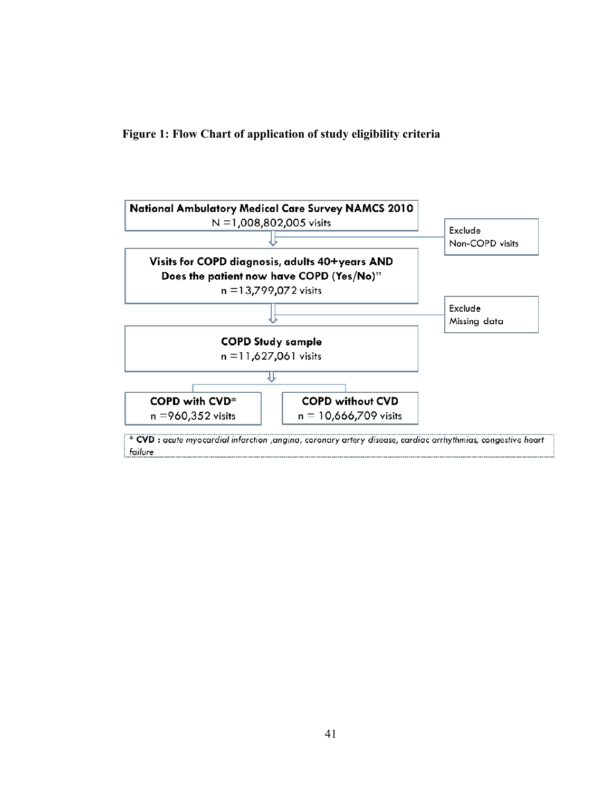**Figure 1: Flow Chart of application of study eligibility criteria** 

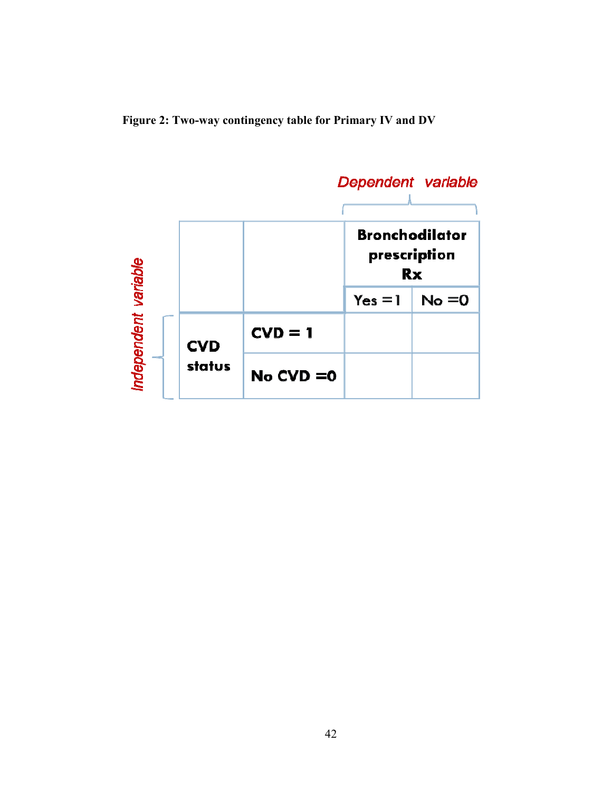**Figure 2: Two-way contingency table for Primary IV and DV** 

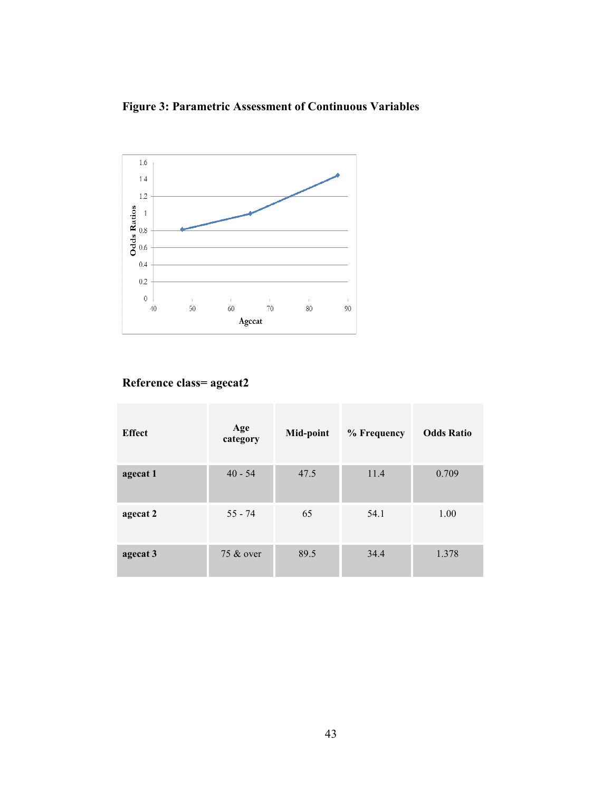**Figure 3: Parametric Assessment of Continuous Variables** 



## **Reference class= agecat2**

| <b>Effect</b> | Age<br>category | Mid-point | % Frequency | <b>Odds Ratio</b> |
|---------------|-----------------|-----------|-------------|-------------------|
| agecat 1      | $40 - 54$       | 47.5      | 11.4        | 0.709             |
| agecat 2      | $55 - 74$       | 65        | 54.1        | 1.00              |
| agecat 3      | 75 & over       | 89.5      | 34.4        | 1.378             |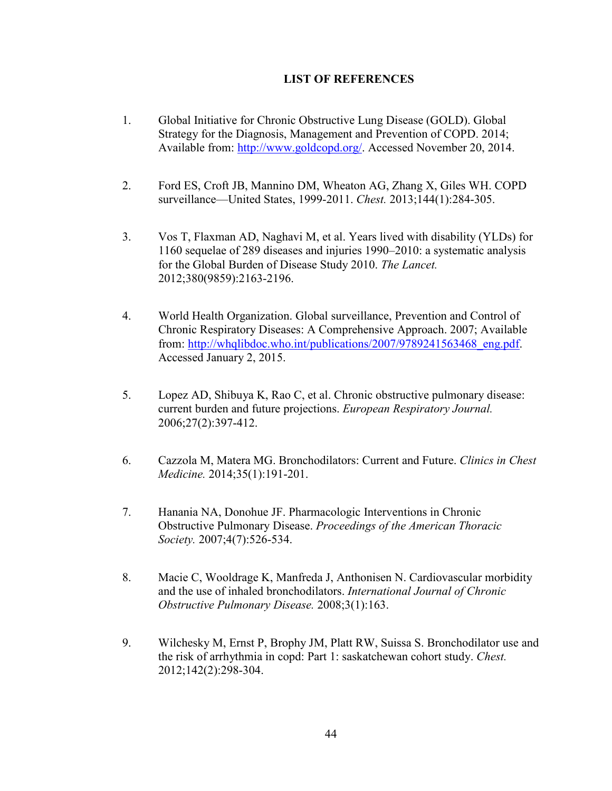### **LIST OF REFERENCES**

- 1. Global Initiative for Chronic Obstructive Lung Disease (GOLD). Global Strategy for the Diagnosis, Management and Prevention of COPD. 2014; Available from: http://www.goldcopd.org/. Accessed November 20, 2014.
- 2. Ford ES, Croft JB, Mannino DM, Wheaton AG, Zhang X, Giles WH. COPD surveillance—United States, 1999-2011. *Chest.* 2013;144(1):284-305.
- 3. Vos T, Flaxman AD, Naghavi M, et al. Years lived with disability (YLDs) for 1160 sequelae of 289 diseases and injuries 1990–2010: a systematic analysis for the Global Burden of Disease Study 2010. *The Lancet.*  2012;380(9859):2163-2196.
- 4. World Health Organization. Global surveillance, Prevention and Control of Chronic Respiratory Diseases: A Comprehensive Approach. 2007; Available from: http://whqlibdoc.who.int/publications/2007/9789241563468\_eng.pdf. Accessed January 2, 2015.
- 5. Lopez AD, Shibuya K, Rao C, et al. Chronic obstructive pulmonary disease: current burden and future projections. *European Respiratory Journal.*  2006;27(2):397-412.
- 6. Cazzola M, Matera MG. Bronchodilators: Current and Future. *Clinics in Chest Medicine.* 2014;35(1):191-201.
- 7. Hanania NA, Donohue JF. Pharmacologic Interventions in Chronic Obstructive Pulmonary Disease. *Proceedings of the American Thoracic Society.* 2007;4(7):526-534.
- 8. Macie C, Wooldrage K, Manfreda J, Anthonisen N. Cardiovascular morbidity and the use of inhaled bronchodilators. *International Journal of Chronic Obstructive Pulmonary Disease.* 2008;3(1):163.
- 9. Wilchesky M, Ernst P, Brophy JM, Platt RW, Suissa S. Bronchodilator use and the risk of arrhythmia in copd: Part 1: saskatchewan cohort study. *Chest.*  2012;142(2):298-304.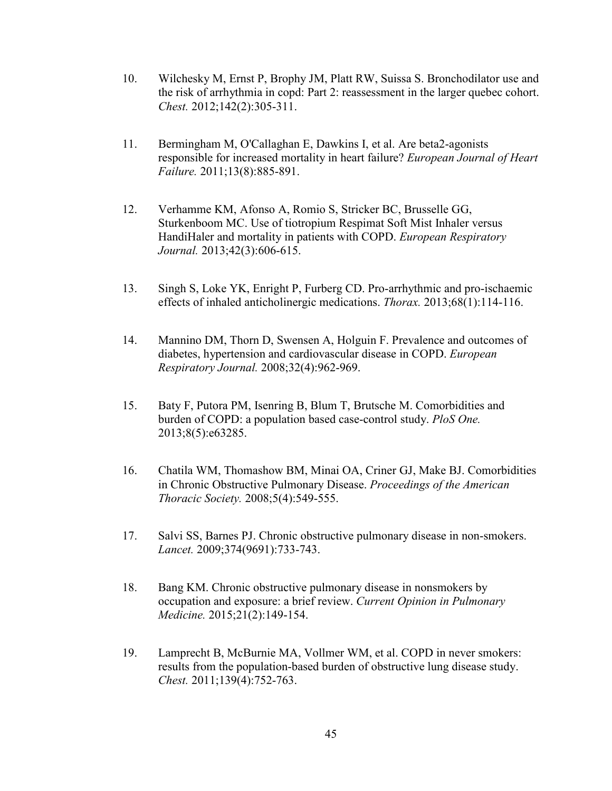- 10. Wilchesky M, Ernst P, Brophy JM, Platt RW, Suissa S. Bronchodilator use and the risk of arrhythmia in copd: Part 2: reassessment in the larger quebec cohort. *Chest.* 2012;142(2):305-311.
- 11. Bermingham M, O'Callaghan E, Dawkins I, et al. Are beta2-agonists responsible for increased mortality in heart failure? *European Journal of Heart Failure.* 2011;13(8):885-891.
- 12. Verhamme KM, Afonso A, Romio S, Stricker BC, Brusselle GG, Sturkenboom MC. Use of tiotropium Respimat Soft Mist Inhaler versus HandiHaler and mortality in patients with COPD. *European Respiratory Journal.* 2013;42(3):606-615.
- 13. Singh S, Loke YK, Enright P, Furberg CD. Pro-arrhythmic and pro-ischaemic effects of inhaled anticholinergic medications. *Thorax.* 2013;68(1):114-116.
- 14. Mannino DM, Thorn D, Swensen A, Holguin F. Prevalence and outcomes of diabetes, hypertension and cardiovascular disease in COPD. *European Respiratory Journal.* 2008;32(4):962-969.
- 15. Baty F, Putora PM, Isenring B, Blum T, Brutsche M. Comorbidities and burden of COPD: a population based case-control study. *PloS One.*  2013;8(5):e63285.
- 16. Chatila WM, Thomashow BM, Minai OA, Criner GJ, Make BJ. Comorbidities in Chronic Obstructive Pulmonary Disease. *Proceedings of the American Thoracic Society.* 2008;5(4):549-555.
- 17. Salvi SS, Barnes PJ. Chronic obstructive pulmonary disease in non-smokers. *Lancet.* 2009;374(9691):733-743.
- 18. Bang KM. Chronic obstructive pulmonary disease in nonsmokers by occupation and exposure: a brief review. *Current Opinion in Pulmonary Medicine.* 2015;21(2):149-154.
- 19. Lamprecht B, McBurnie MA, Vollmer WM, et al. COPD in never smokers: results from the population-based burden of obstructive lung disease study. *Chest.* 2011;139(4):752-763.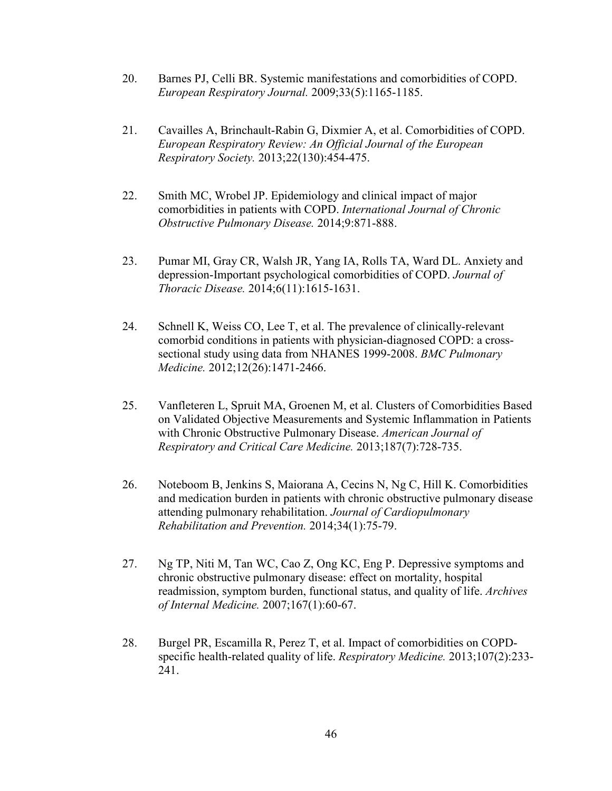- 20. Barnes PJ, Celli BR. Systemic manifestations and comorbidities of COPD. *European Respiratory Journal.* 2009;33(5):1165-1185.
- 21. Cavailles A, Brinchault-Rabin G, Dixmier A, et al. Comorbidities of COPD. *European Respiratory Review: An Official Journal of the European Respiratory Society.* 2013;22(130):454-475.
- 22. Smith MC, Wrobel JP. Epidemiology and clinical impact of major comorbidities in patients with COPD. *International Journal of Chronic Obstructive Pulmonary Disease.* 2014;9:871-888.
- 23. Pumar MI, Gray CR, Walsh JR, Yang IA, Rolls TA, Ward DL. Anxiety and depression-Important psychological comorbidities of COPD. *Journal of Thoracic Disease.* 2014;6(11):1615-1631.
- 24. Schnell K, Weiss CO, Lee T, et al. The prevalence of clinically-relevant comorbid conditions in patients with physician-diagnosed COPD: a crosssectional study using data from NHANES 1999-2008. *BMC Pulmonary Medicine.* 2012;12(26):1471-2466.
- 25. Vanfleteren L, Spruit MA, Groenen M, et al. Clusters of Comorbidities Based on Validated Objective Measurements and Systemic Inflammation in Patients with Chronic Obstructive Pulmonary Disease. *American Journal of Respiratory and Critical Care Medicine.* 2013;187(7):728-735.
- 26. Noteboom B, Jenkins S, Maiorana A, Cecins N, Ng C, Hill K. Comorbidities and medication burden in patients with chronic obstructive pulmonary disease attending pulmonary rehabilitation. *Journal of Cardiopulmonary Rehabilitation and Prevention.* 2014;34(1):75-79.
- 27. Ng TP, Niti M, Tan WC, Cao Z, Ong KC, Eng P. Depressive symptoms and chronic obstructive pulmonary disease: effect on mortality, hospital readmission, symptom burden, functional status, and quality of life. *Archives of Internal Medicine.* 2007;167(1):60-67.
- 28. Burgel PR, Escamilla R, Perez T, et al. Impact of comorbidities on COPDspecific health-related quality of life. *Respiratory Medicine.* 2013;107(2):233- 241.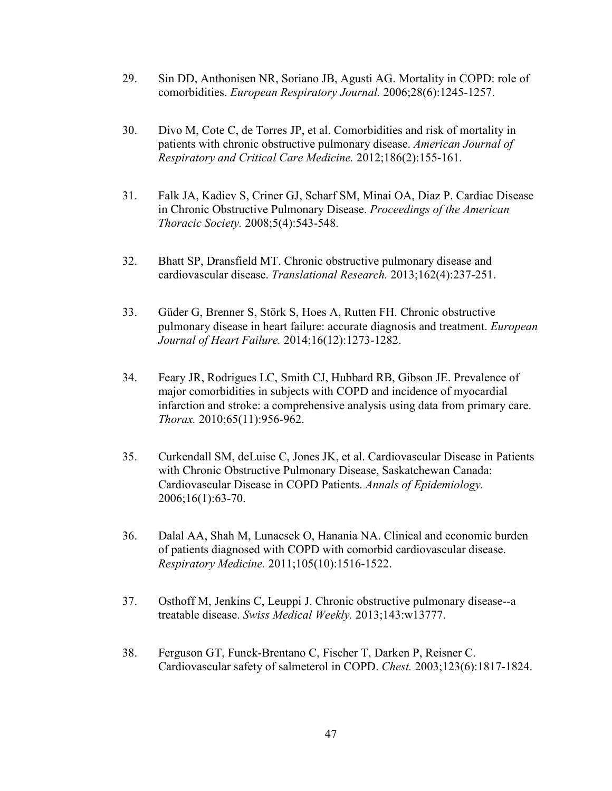- 29. Sin DD, Anthonisen NR, Soriano JB, Agusti AG. Mortality in COPD: role of comorbidities. *European Respiratory Journal.* 2006;28(6):1245-1257.
- 30. Divo M, Cote C, de Torres JP, et al. Comorbidities and risk of mortality in patients with chronic obstructive pulmonary disease. *American Journal of Respiratory and Critical Care Medicine.* 2012;186(2):155-161.
- 31. Falk JA, Kadiev S, Criner GJ, Scharf SM, Minai OA, Diaz P. Cardiac Disease in Chronic Obstructive Pulmonary Disease. *Proceedings of the American Thoracic Society.* 2008;5(4):543-548.
- 32. Bhatt SP, Dransfield MT. Chronic obstructive pulmonary disease and cardiovascular disease. *Translational Research.* 2013;162(4):237-251.
- 33. Güder G, Brenner S, Störk S, Hoes A, Rutten FH. Chronic obstructive pulmonary disease in heart failure: accurate diagnosis and treatment. *European Journal of Heart Failure.* 2014;16(12):1273-1282.
- 34. Feary JR, Rodrigues LC, Smith CJ, Hubbard RB, Gibson JE. Prevalence of major comorbidities in subjects with COPD and incidence of myocardial infarction and stroke: a comprehensive analysis using data from primary care. *Thorax.* 2010;65(11):956-962.
- 35. Curkendall SM, deLuise C, Jones JK, et al. Cardiovascular Disease in Patients with Chronic Obstructive Pulmonary Disease, Saskatchewan Canada: Cardiovascular Disease in COPD Patients. *Annals of Epidemiology.*  2006;16(1):63-70.
- 36. Dalal AA, Shah M, Lunacsek O, Hanania NA. Clinical and economic burden of patients diagnosed with COPD with comorbid cardiovascular disease. *Respiratory Medicine.* 2011;105(10):1516-1522.
- 37. Osthoff M, Jenkins C, Leuppi J. Chronic obstructive pulmonary disease--a treatable disease. *Swiss Medical Weekly.* 2013;143:w13777.
- 38. Ferguson GT, Funck-Brentano C, Fischer T, Darken P, Reisner C. Cardiovascular safety of salmeterol in COPD. *Chest.* 2003;123(6):1817-1824.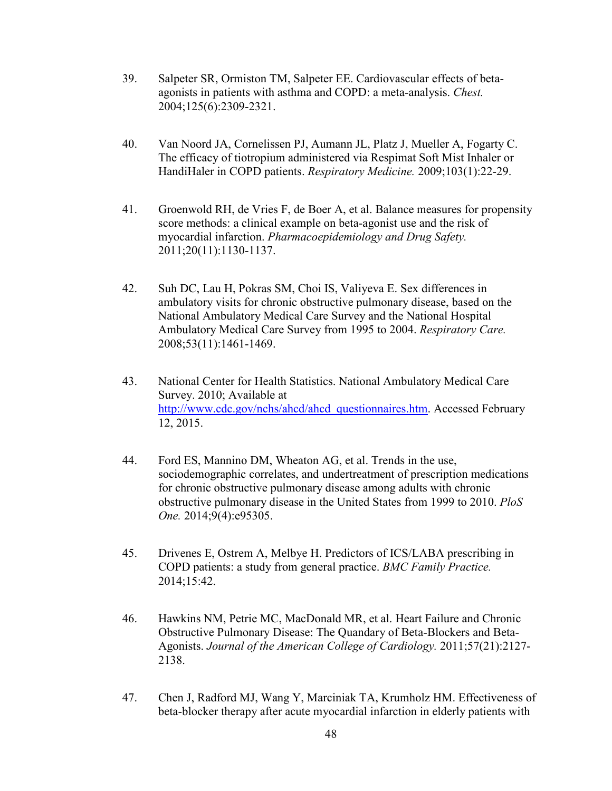- 39. Salpeter SR, Ormiston TM, Salpeter EE. Cardiovascular effects of betaagonists in patients with asthma and COPD: a meta-analysis. *Chest.*  2004;125(6):2309-2321.
- 40. Van Noord JA, Cornelissen PJ, Aumann JL, Platz J, Mueller A, Fogarty C. The efficacy of tiotropium administered via Respimat Soft Mist Inhaler or HandiHaler in COPD patients. *Respiratory Medicine.* 2009;103(1):22-29.
- 41. Groenwold RH, de Vries F, de Boer A, et al. Balance measures for propensity score methods: a clinical example on beta-agonist use and the risk of myocardial infarction. *Pharmacoepidemiology and Drug Safety.*  2011;20(11):1130-1137.
- 42. Suh DC, Lau H, Pokras SM, Choi IS, Valiyeva E. Sex differences in ambulatory visits for chronic obstructive pulmonary disease, based on the National Ambulatory Medical Care Survey and the National Hospital Ambulatory Medical Care Survey from 1995 to 2004. *Respiratory Care.*  2008;53(11):1461-1469.
- 43. National Center for Health Statistics. National Ambulatory Medical Care Survey. 2010; Available at http://www.cdc.gov/nchs/ahcd/ahcd\_questionnaires.htm. Accessed February 12, 2015.
- 44. Ford ES, Mannino DM, Wheaton AG, et al. Trends in the use, sociodemographic correlates, and undertreatment of prescription medications for chronic obstructive pulmonary disease among adults with chronic obstructive pulmonary disease in the United States from 1999 to 2010. *PloS One.* 2014;9(4):e95305.
- 45. Drivenes E, Ostrem A, Melbye H. Predictors of ICS/LABA prescribing in COPD patients: a study from general practice. *BMC Family Practice.*  2014;15:42.
- 46. Hawkins NM, Petrie MC, MacDonald MR, et al. Heart Failure and Chronic Obstructive Pulmonary Disease: The Quandary of Beta-Blockers and Beta-Agonists. *Journal of the American College of Cardiology.* 2011;57(21):2127- 2138.
- 47. Chen J, Radford MJ, Wang Y, Marciniak TA, Krumholz HM. Effectiveness of beta-blocker therapy after acute myocardial infarction in elderly patients with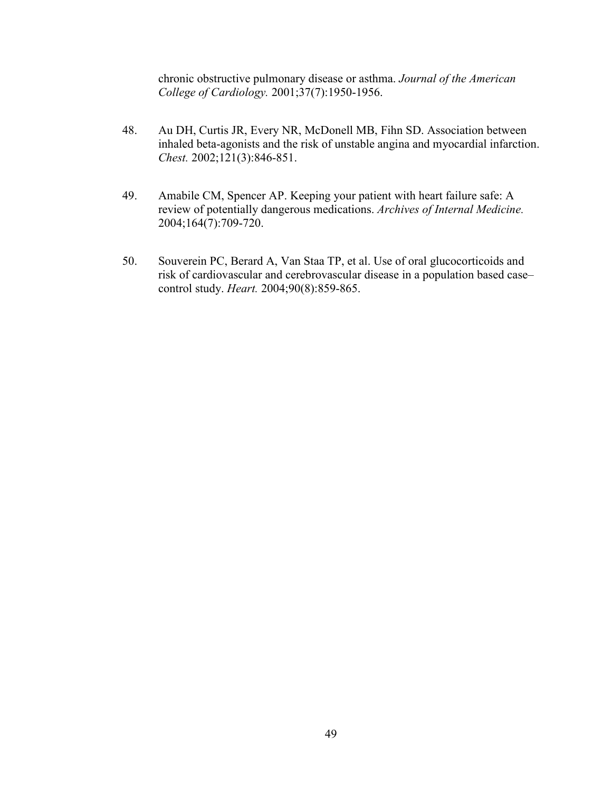chronic obstructive pulmonary disease or asthma. *Journal of the American College of Cardiology.* 2001;37(7):1950-1956.

- 48. Au DH, Curtis JR, Every NR, McDonell MB, Fihn SD. Association between inhaled beta-agonists and the risk of unstable angina and myocardial infarction. *Chest.* 2002;121(3):846-851.
- 49. Amabile CM, Spencer AP. Keeping your patient with heart failure safe: A review of potentially dangerous medications. *Archives of Internal Medicine.*  2004;164(7):709-720.
- 50. Souverein PC, Berard A, Van Staa TP, et al. Use of oral glucocorticoids and risk of cardiovascular and cerebrovascular disease in a population based case– control study. *Heart.* 2004;90(8):859-865.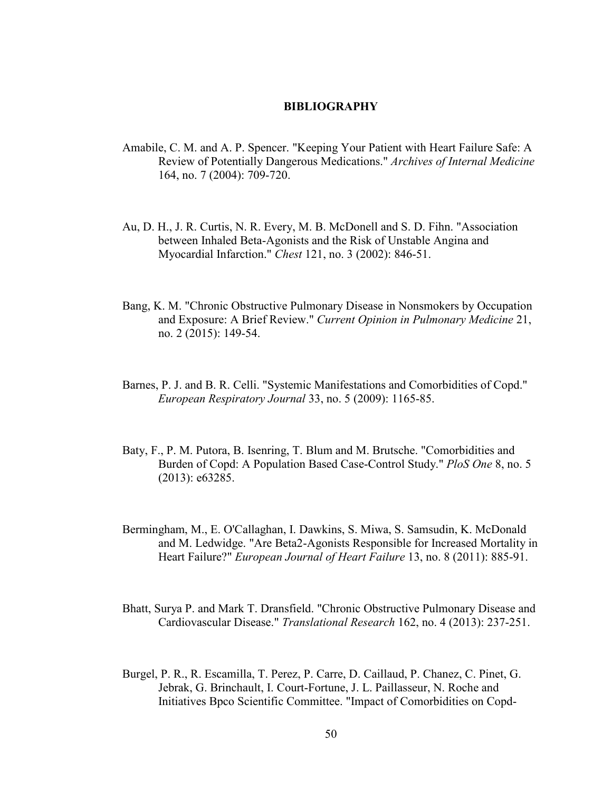#### **BIBLIOGRAPHY**

- Amabile, C. M. and A. P. Spencer. "Keeping Your Patient with Heart Failure Safe: A Review of Potentially Dangerous Medications." *Archives of Internal Medicine* 164, no. 7 (2004): 709-720.
- Au, D. H., J. R. Curtis, N. R. Every, M. B. McDonell and S. D. Fihn. "Association between Inhaled Beta-Agonists and the Risk of Unstable Angina and Myocardial Infarction." *Chest* 121, no. 3 (2002): 846-51.
- Bang, K. M. "Chronic Obstructive Pulmonary Disease in Nonsmokers by Occupation and Exposure: A Brief Review." *Current Opinion in Pulmonary Medicine* 21, no. 2 (2015): 149-54.
- Barnes, P. J. and B. R. Celli. "Systemic Manifestations and Comorbidities of Copd." *European Respiratory Journal* 33, no. 5 (2009): 1165-85.
- Baty, F., P. M. Putora, B. Isenring, T. Blum and M. Brutsche. "Comorbidities and Burden of Copd: A Population Based Case-Control Study." *PloS One* 8, no. 5 (2013): e63285.
- Bermingham, M., E. O'Callaghan, I. Dawkins, S. Miwa, S. Samsudin, K. McDonald and M. Ledwidge. "Are Beta2-Agonists Responsible for Increased Mortality in Heart Failure?" *European Journal of Heart Failure* 13, no. 8 (2011): 885-91.
- Bhatt, Surya P. and Mark T. Dransfield. "Chronic Obstructive Pulmonary Disease and Cardiovascular Disease." *Translational Research* 162, no. 4 (2013): 237-251.
- Burgel, P. R., R. Escamilla, T. Perez, P. Carre, D. Caillaud, P. Chanez, C. Pinet, G. Jebrak, G. Brinchault, I. Court-Fortune, J. L. Paillasseur, N. Roche and Initiatives Bpco Scientific Committee. "Impact of Comorbidities on Copd-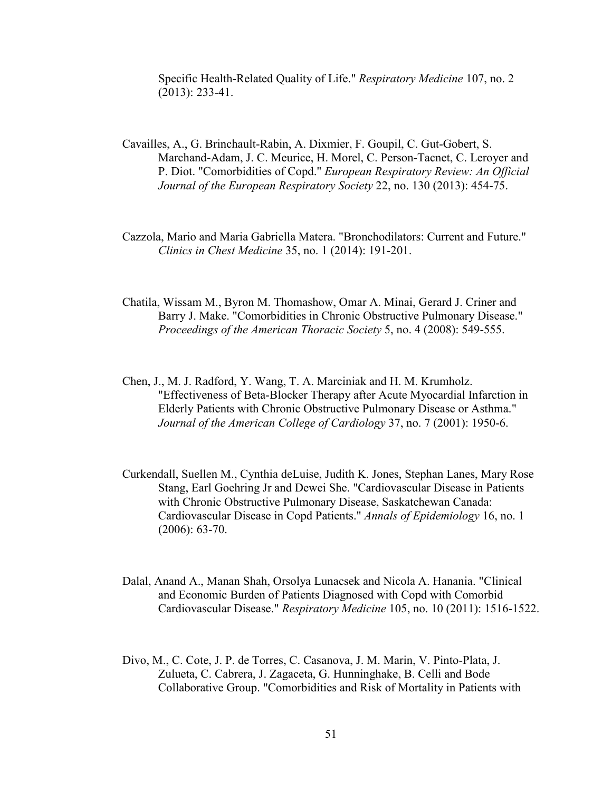Specific Health-Related Quality of Life." *Respiratory Medicine* 107, no. 2 (2013): 233-41.

- Cavailles, A., G. Brinchault-Rabin, A. Dixmier, F. Goupil, C. Gut-Gobert, S. Marchand-Adam, J. C. Meurice, H. Morel, C. Person-Tacnet, C. Leroyer and P. Diot. "Comorbidities of Copd." *European Respiratory Review: An Official Journal of the European Respiratory Society* 22, no. 130 (2013): 454-75.
- Cazzola, Mario and Maria Gabriella Matera. "Bronchodilators: Current and Future." *Clinics in Chest Medicine* 35, no. 1 (2014): 191-201.
- Chatila, Wissam M., Byron M. Thomashow, Omar A. Minai, Gerard J. Criner and Barry J. Make. "Comorbidities in Chronic Obstructive Pulmonary Disease." *Proceedings of the American Thoracic Society* 5, no. 4 (2008): 549-555.
- Chen, J., M. J. Radford, Y. Wang, T. A. Marciniak and H. M. Krumholz. "Effectiveness of Beta-Blocker Therapy after Acute Myocardial Infarction in Elderly Patients with Chronic Obstructive Pulmonary Disease or Asthma." *Journal of the American College of Cardiology* 37, no. 7 (2001): 1950-6.
- Curkendall, Suellen M., Cynthia deLuise, Judith K. Jones, Stephan Lanes, Mary Rose Stang, Earl Goehring Jr and Dewei She. "Cardiovascular Disease in Patients with Chronic Obstructive Pulmonary Disease, Saskatchewan Canada: Cardiovascular Disease in Copd Patients." *Annals of Epidemiology* 16, no. 1 (2006): 63-70.
- Dalal, Anand A., Manan Shah, Orsolya Lunacsek and Nicola A. Hanania. "Clinical and Economic Burden of Patients Diagnosed with Copd with Comorbid Cardiovascular Disease." *Respiratory Medicine* 105, no. 10 (2011): 1516-1522.
- Divo, M., C. Cote, J. P. de Torres, C. Casanova, J. M. Marin, V. Pinto-Plata, J. Zulueta, C. Cabrera, J. Zagaceta, G. Hunninghake, B. Celli and Bode Collaborative Group. "Comorbidities and Risk of Mortality in Patients with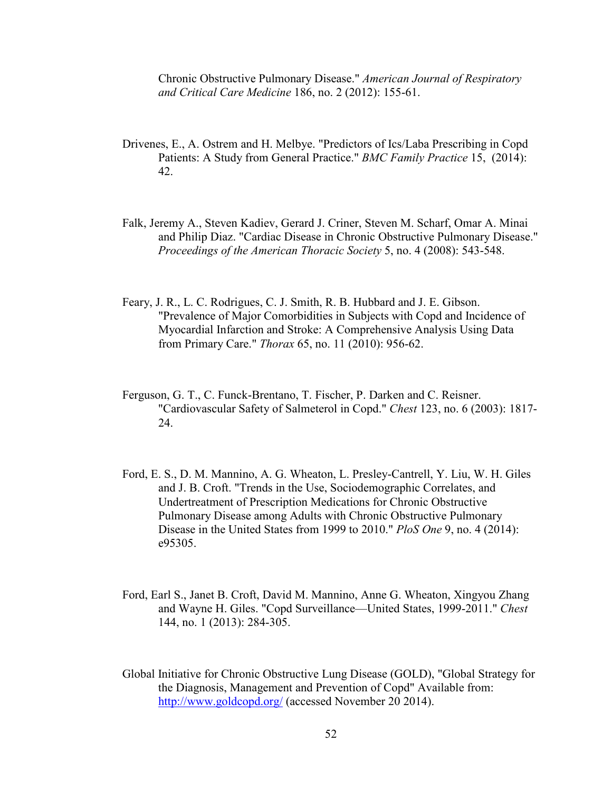Chronic Obstructive Pulmonary Disease." *American Journal of Respiratory and Critical Care Medicine* 186, no. 2 (2012): 155-61.

- Drivenes, E., A. Ostrem and H. Melbye. "Predictors of Ics/Laba Prescribing in Copd Patients: A Study from General Practice." *BMC Family Practice* 15, (2014): 42.
- Falk, Jeremy A., Steven Kadiev, Gerard J. Criner, Steven M. Scharf, Omar A. Minai and Philip Diaz. "Cardiac Disease in Chronic Obstructive Pulmonary Disease." *Proceedings of the American Thoracic Society* 5, no. 4 (2008): 543-548.
- Feary, J. R., L. C. Rodrigues, C. J. Smith, R. B. Hubbard and J. E. Gibson. "Prevalence of Major Comorbidities in Subjects with Copd and Incidence of Myocardial Infarction and Stroke: A Comprehensive Analysis Using Data from Primary Care." *Thorax* 65, no. 11 (2010): 956-62.
- Ferguson, G. T., C. Funck-Brentano, T. Fischer, P. Darken and C. Reisner. "Cardiovascular Safety of Salmeterol in Copd." *Chest* 123, no. 6 (2003): 1817- 24.
- Ford, E. S., D. M. Mannino, A. G. Wheaton, L. Presley-Cantrell, Y. Liu, W. H. Giles and J. B. Croft. "Trends in the Use, Sociodemographic Correlates, and Undertreatment of Prescription Medications for Chronic Obstructive Pulmonary Disease among Adults with Chronic Obstructive Pulmonary Disease in the United States from 1999 to 2010." *PloS One* 9, no. 4 (2014): e95305.
- Ford, Earl S., Janet B. Croft, David M. Mannino, Anne G. Wheaton, Xingyou Zhang and Wayne H. Giles. "Copd Surveillance—United States, 1999-2011." *Chest* 144, no. 1 (2013): 284-305.
- Global Initiative for Chronic Obstructive Lung Disease (GOLD), "Global Strategy for the Diagnosis, Management and Prevention of Copd" Available from: http://www.goldcopd.org/ (accessed November 20 2014).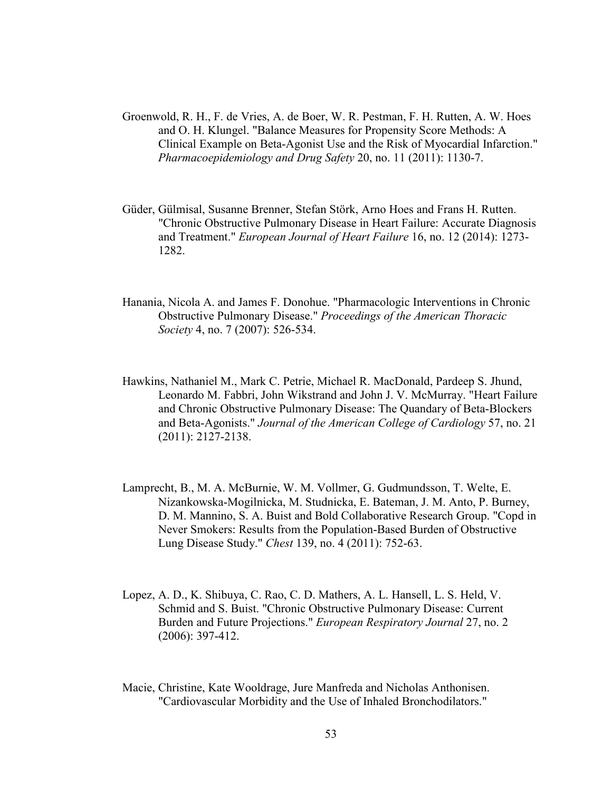- Groenwold, R. H., F. de Vries, A. de Boer, W. R. Pestman, F. H. Rutten, A. W. Hoes and O. H. Klungel. "Balance Measures for Propensity Score Methods: A Clinical Example on Beta-Agonist Use and the Risk of Myocardial Infarction." *Pharmacoepidemiology and Drug Safety* 20, no. 11 (2011): 1130-7.
- Güder, Gülmisal, Susanne Brenner, Stefan Störk, Arno Hoes and Frans H. Rutten. "Chronic Obstructive Pulmonary Disease in Heart Failure: Accurate Diagnosis and Treatment." *European Journal of Heart Failure* 16, no. 12 (2014): 1273- 1282.
- Hanania, Nicola A. and James F. Donohue. "Pharmacologic Interventions in Chronic Obstructive Pulmonary Disease." *Proceedings of the American Thoracic Society* 4, no. 7 (2007): 526-534.
- Hawkins, Nathaniel M., Mark C. Petrie, Michael R. MacDonald, Pardeep S. Jhund, Leonardo M. Fabbri, John Wikstrand and John J. V. McMurray. "Heart Failure and Chronic Obstructive Pulmonary Disease: The Quandary of Beta-Blockers and Beta-Agonists." *Journal of the American College of Cardiology* 57, no. 21 (2011): 2127-2138.
- Lamprecht, B., M. A. McBurnie, W. M. Vollmer, G. Gudmundsson, T. Welte, E. Nizankowska-Mogilnicka, M. Studnicka, E. Bateman, J. M. Anto, P. Burney, D. M. Mannino, S. A. Buist and Bold Collaborative Research Group. "Copd in Never Smokers: Results from the Population-Based Burden of Obstructive Lung Disease Study." *Chest* 139, no. 4 (2011): 752-63.
- Lopez, A. D., K. Shibuya, C. Rao, C. D. Mathers, A. L. Hansell, L. S. Held, V. Schmid and S. Buist. "Chronic Obstructive Pulmonary Disease: Current Burden and Future Projections." *European Respiratory Journal* 27, no. 2 (2006): 397-412.
- Macie, Christine, Kate Wooldrage, Jure Manfreda and Nicholas Anthonisen. "Cardiovascular Morbidity and the Use of Inhaled Bronchodilators."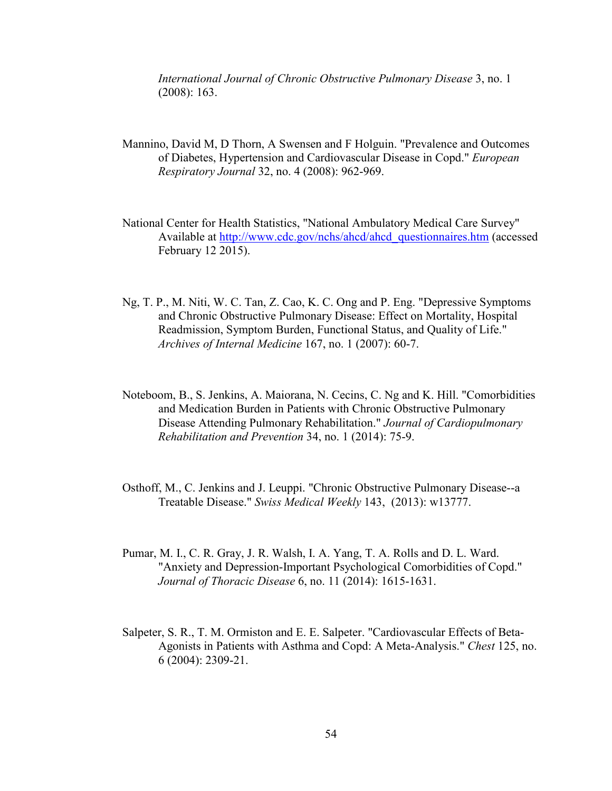*International Journal of Chronic Obstructive Pulmonary Disease* 3, no. 1 (2008): 163.

- Mannino, David M, D Thorn, A Swensen and F Holguin. "Prevalence and Outcomes of Diabetes, Hypertension and Cardiovascular Disease in Copd." *European Respiratory Journal* 32, no. 4 (2008): 962-969.
- National Center for Health Statistics, "National Ambulatory Medical Care Survey" Available at http://www.cdc.gov/nchs/ahcd/ahcd\_questionnaires.htm (accessed February 12 2015).
- Ng, T. P., M. Niti, W. C. Tan, Z. Cao, K. C. Ong and P. Eng. "Depressive Symptoms and Chronic Obstructive Pulmonary Disease: Effect on Mortality, Hospital Readmission, Symptom Burden, Functional Status, and Quality of Life." *Archives of Internal Medicine* 167, no. 1 (2007): 60-7.
- Noteboom, B., S. Jenkins, A. Maiorana, N. Cecins, C. Ng and K. Hill. "Comorbidities and Medication Burden in Patients with Chronic Obstructive Pulmonary Disease Attending Pulmonary Rehabilitation." *Journal of Cardiopulmonary Rehabilitation and Prevention* 34, no. 1 (2014): 75-9.
- Osthoff, M., C. Jenkins and J. Leuppi. "Chronic Obstructive Pulmonary Disease--a Treatable Disease." *Swiss Medical Weekly* 143, (2013): w13777.
- Pumar, M. I., C. R. Gray, J. R. Walsh, I. A. Yang, T. A. Rolls and D. L. Ward. "Anxiety and Depression-Important Psychological Comorbidities of Copd." *Journal of Thoracic Disease* 6, no. 11 (2014): 1615-1631.
- Salpeter, S. R., T. M. Ormiston and E. E. Salpeter. "Cardiovascular Effects of Beta-Agonists in Patients with Asthma and Copd: A Meta-Analysis." *Chest* 125, no. 6 (2004): 2309-21.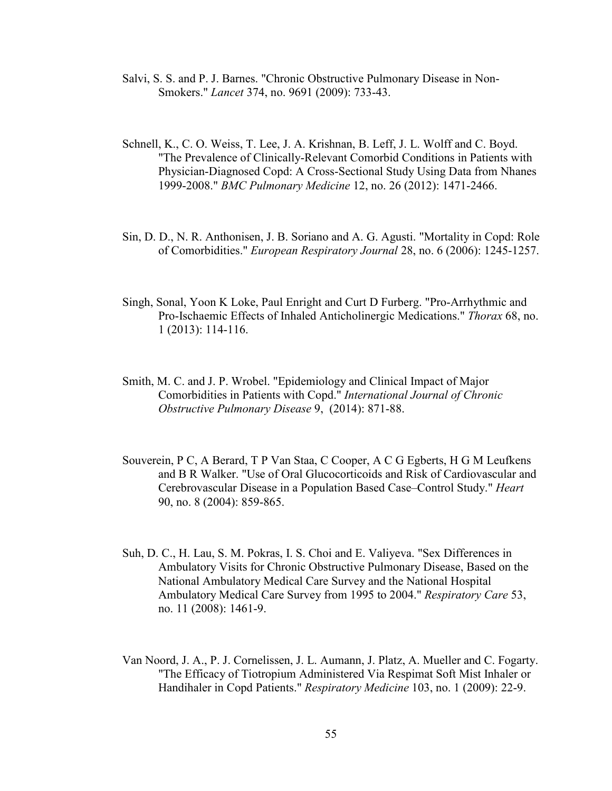- Salvi, S. S. and P. J. Barnes. "Chronic Obstructive Pulmonary Disease in Non-Smokers." *Lancet* 374, no. 9691 (2009): 733-43.
- Schnell, K., C. O. Weiss, T. Lee, J. A. Krishnan, B. Leff, J. L. Wolff and C. Boyd. "The Prevalence of Clinically-Relevant Comorbid Conditions in Patients with Physician-Diagnosed Copd: A Cross-Sectional Study Using Data from Nhanes 1999-2008." *BMC Pulmonary Medicine* 12, no. 26 (2012): 1471-2466.
- Sin, D. D., N. R. Anthonisen, J. B. Soriano and A. G. Agusti. "Mortality in Copd: Role of Comorbidities." *European Respiratory Journal* 28, no. 6 (2006): 1245-1257.
- Singh, Sonal, Yoon K Loke, Paul Enright and Curt D Furberg. "Pro-Arrhythmic and Pro-Ischaemic Effects of Inhaled Anticholinergic Medications." *Thorax* 68, no. 1 (2013): 114-116.
- Smith, M. C. and J. P. Wrobel. "Epidemiology and Clinical Impact of Major Comorbidities in Patients with Copd." *International Journal of Chronic Obstructive Pulmonary Disease* 9, (2014): 871-88.
- Souverein, P C, A Berard, T P Van Staa, C Cooper, A C G Egberts, H G M Leufkens and B R Walker. "Use of Oral Glucocorticoids and Risk of Cardiovascular and Cerebrovascular Disease in a Population Based Case–Control Study." *Heart* 90, no. 8 (2004): 859-865.
- Suh, D. C., H. Lau, S. M. Pokras, I. S. Choi and E. Valiyeva. "Sex Differences in Ambulatory Visits for Chronic Obstructive Pulmonary Disease, Based on the National Ambulatory Medical Care Survey and the National Hospital Ambulatory Medical Care Survey from 1995 to 2004." *Respiratory Care* 53, no. 11 (2008): 1461-9.
- Van Noord, J. A., P. J. Cornelissen, J. L. Aumann, J. Platz, A. Mueller and C. Fogarty. "The Efficacy of Tiotropium Administered Via Respimat Soft Mist Inhaler or Handihaler in Copd Patients." *Respiratory Medicine* 103, no. 1 (2009): 22-9.